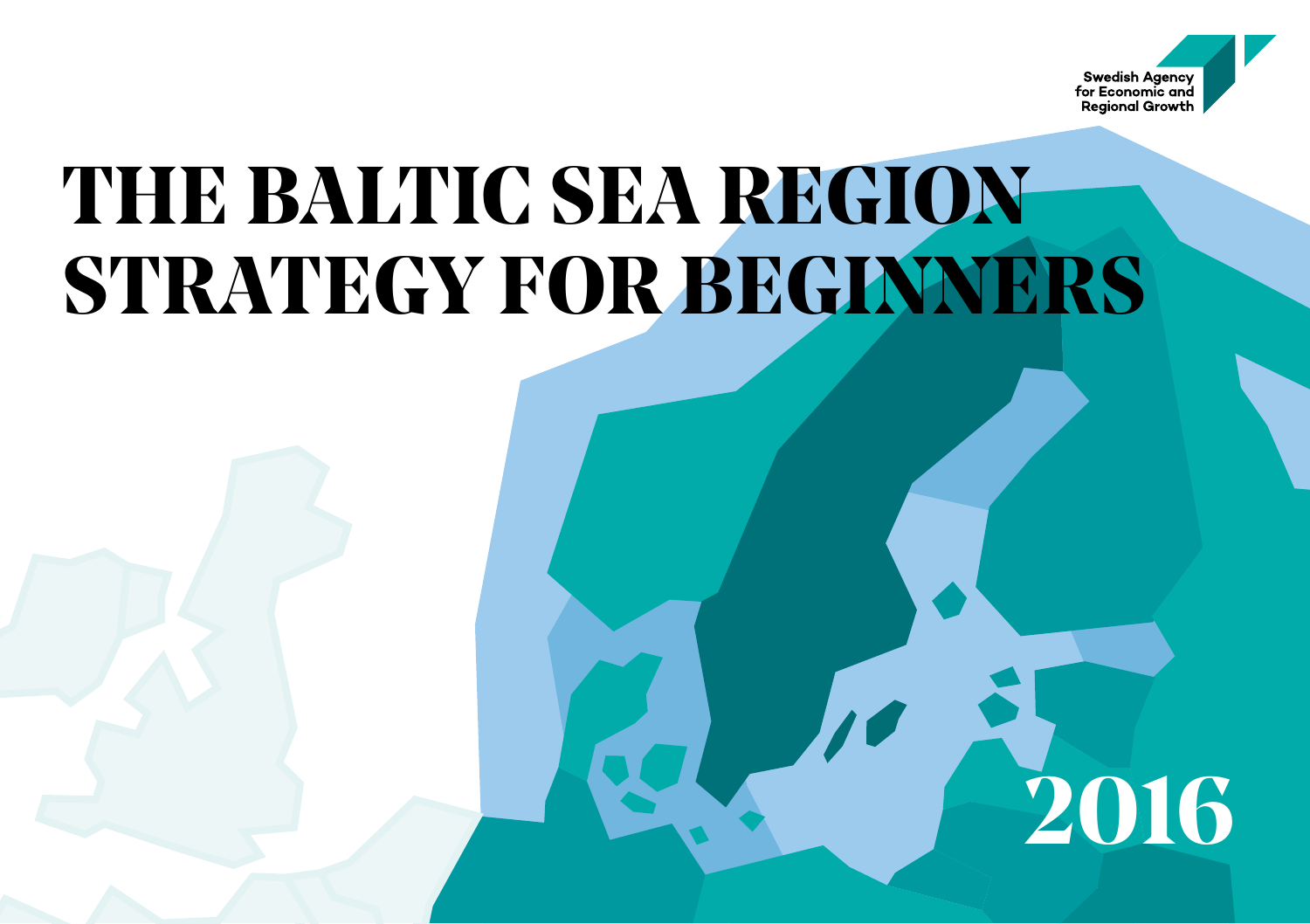

**2016**

### **THE BALTIC SEA REGION STRATEGY FOR BEGINNERS**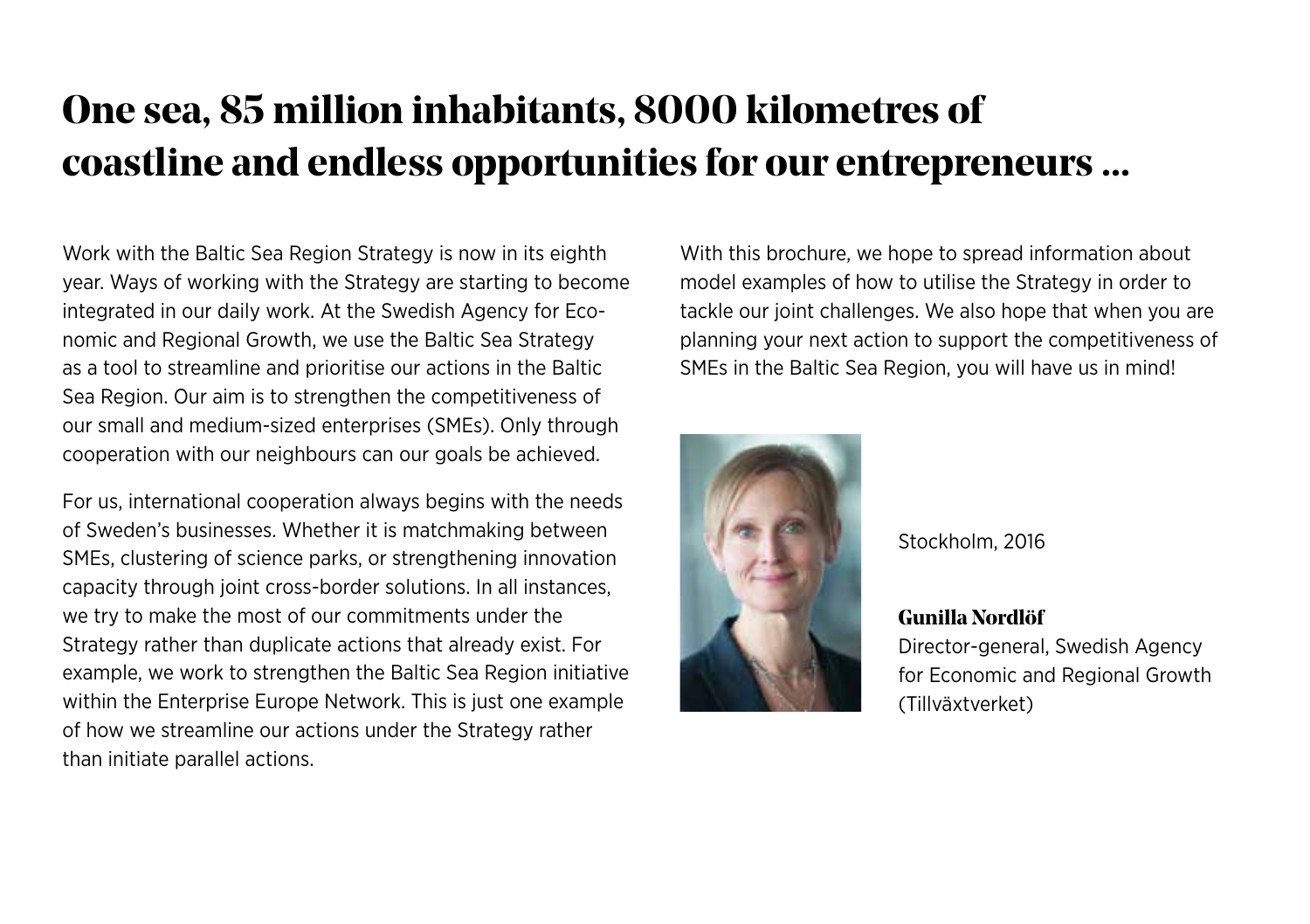#### **One sea, 85 million inhabitants, 8000 kilometres of coastline and endless opportunities for our entrepreneurs ...**

Work with the Baltic Sea Region Strategy is now in its eighth year. Ways of working with the Strategy are starting to become integrated in our daily work. At the Swedish Agency for Economic and Regional Growth, we use the Baltic Sea Strategy as a tool to streamline and prioritise our actions in the Baltic Sea Region. Our aim is to strengthen the competitiveness of our small and medium-sized enterprises (SMEs). Only through cooperation with our neighbours can our goals be achieved.

For us, international cooperation always begins with the needs of Sweden's businesses. Whether it is matchmaking between SMEs, clustering of science parks, or strengthening innovation capacity through joint cross-border solutions. In all instances, we try to make the most of our commitments under the Strategy rather than duplicate actions that already exist. For example, we work to strengthen the Baltic Sea Region initiative within the Enterprise Europe Network. This is just one example of how we streamline our actions under the Strategy rather than initiate parallel actions.

With this brochure, we hope to spread information about model examples of how to utilise the Strategy in order to tackle our joint challenges. We also hope that when you are planning your next action to support the competitiveness of SMEs in the Baltic Sea Region, you will have us in mind!



Stockholm, 2016

**Gunilla Nordlöf**

Director-general, Swedish Agency for Economic and Regional Growth (Tillväxtverket)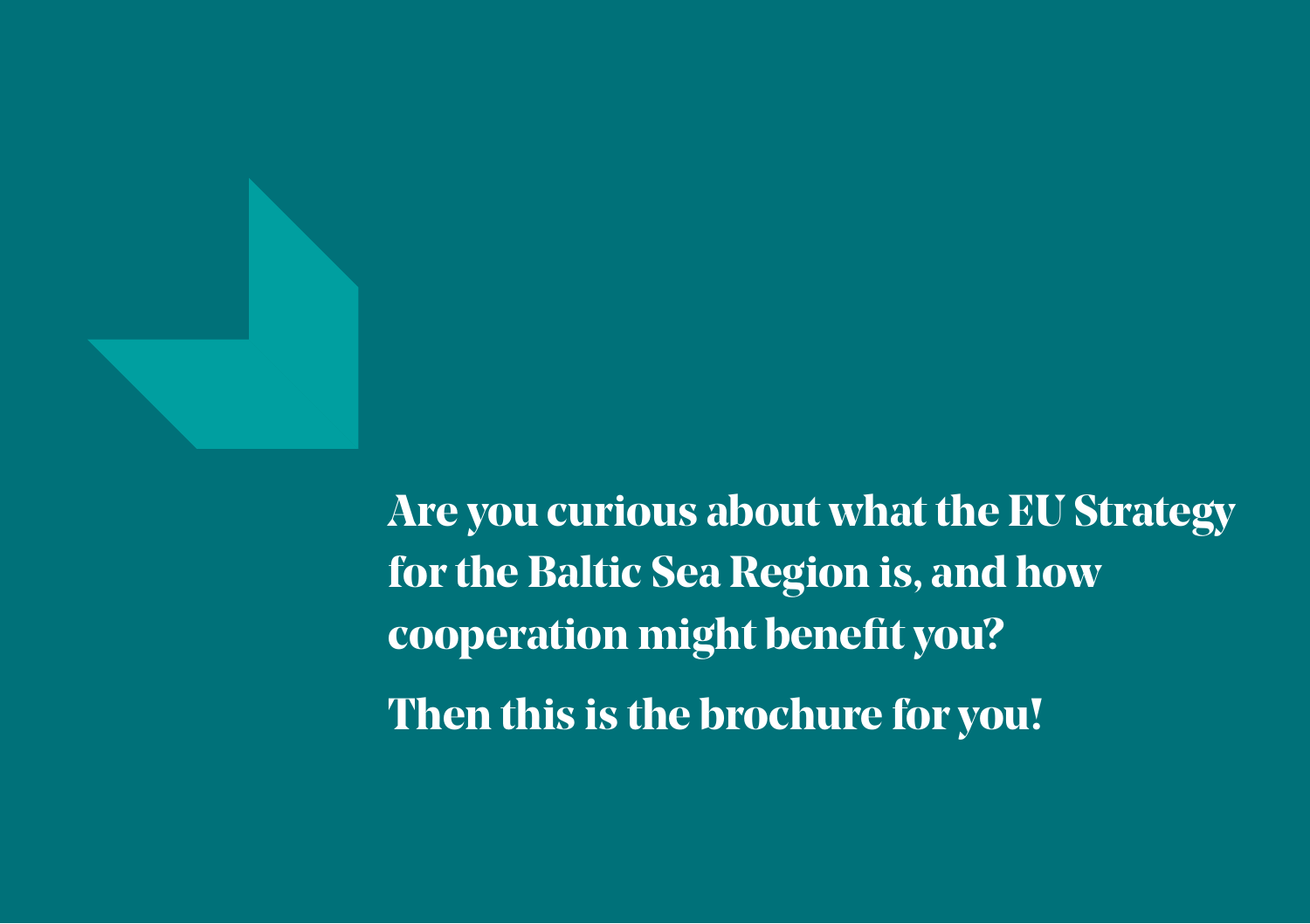

**Are you curious about what the EU Strategy for the Baltic Sea Region is, and how cooperation might benefit you? Then this is the brochure for you!**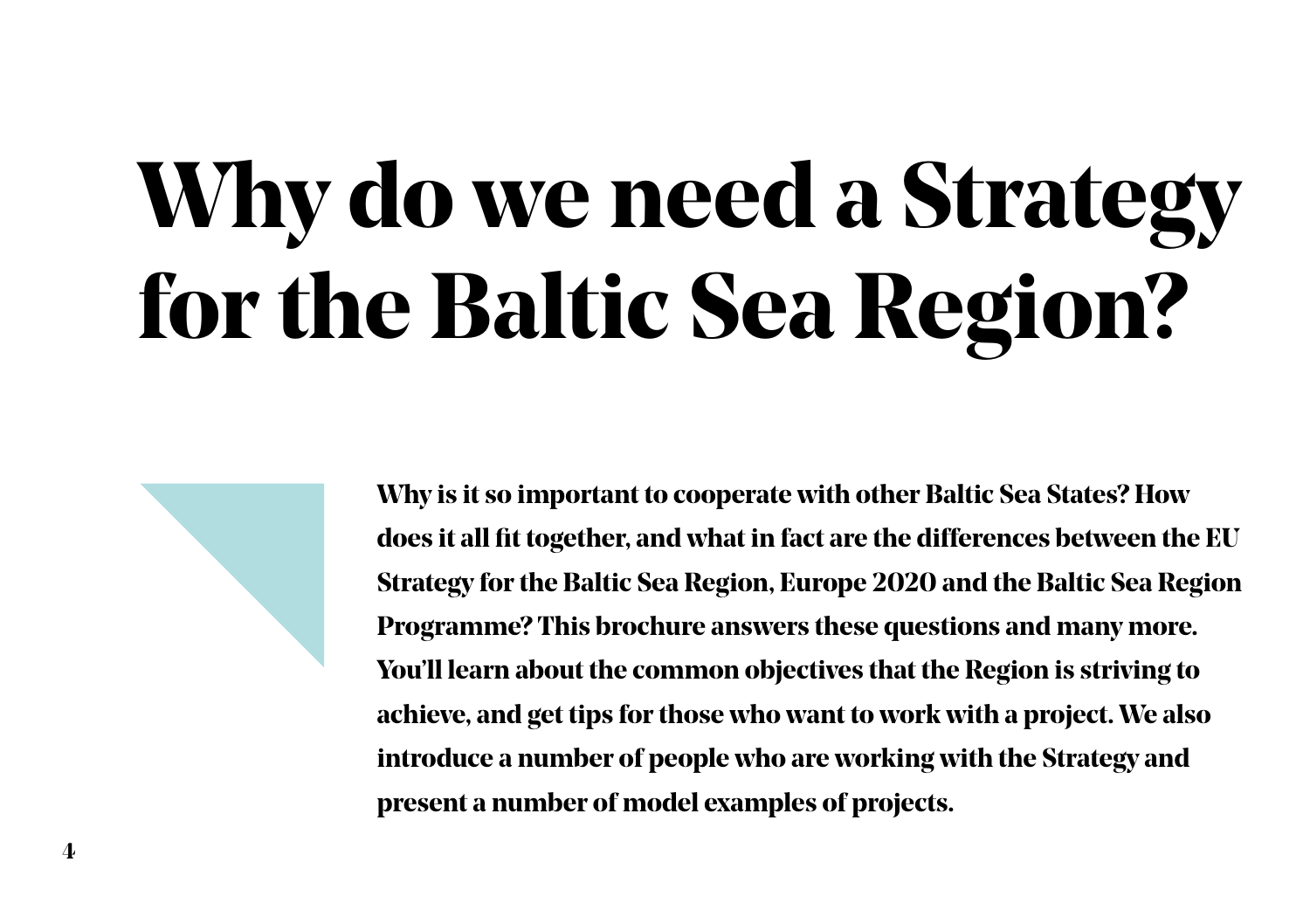# **Why do we need a Strategy for the Baltic Sea Region?**

**Why is it so important to cooperate with other Baltic Sea States? How does it all fit together, and what in fact are the differences between the EU Strategy for the Baltic Sea Region, Europe 2020 and the Baltic Sea Region Programme? This brochure answers these questions and many more. You'll learn about the common objectives that the Region is striving to achieve, and get tips for those who want to work with a project. We also introduce a number of people who are working with the Strategy and present a number of model examples of projects.**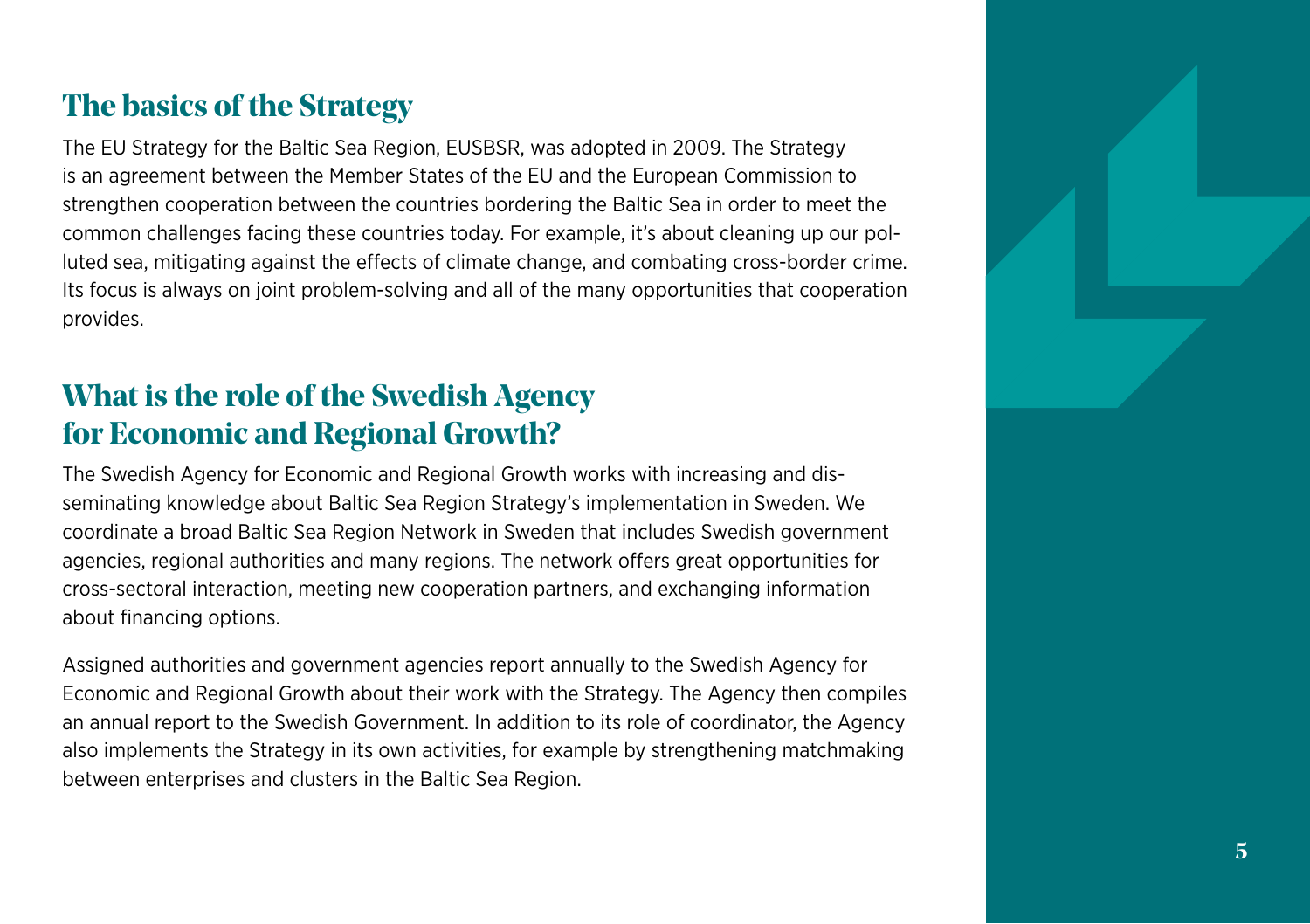#### **The basics of the Strategy**

The EU Strategy for the Baltic Sea Region, EUSBSR, was adopted in 2009. The Strategy is an agreement between the Member States of the EU and the European Commission to strengthen cooperation between the countries bordering the Baltic Sea in order to meet the common challenges facing these countries today. For example, it's about cleaning up our polluted sea, mitigating against the effects of climate change, and combating cross-border crime. Its focus is always on joint problem-solving and all of the many opportunities that cooperation provides.

#### **What is the role of the Swedish Agency for Economic and Regional Growth?**

The Swedish Agency for Economic and Regional Growth works with increasing and disseminating knowledge about Baltic Sea Region Strategy's implementation in Sweden. We coordinate a broad Baltic Sea Region Network in Sweden that includes Swedish government agencies, regional authorities and many regions. The network offers great opportunities for cross-sectoral interaction, meeting new cooperation partners, and exchanging information about financing options.

Assigned authorities and government agencies report annually to the Swedish Agency for Economic and Regional Growth about their work with the Strategy. The Agency then compiles an annual report to the Swedish Government. In addition to its role of coordinator, the Agency also implements the Strategy in its own activities, for example by strengthening matchmaking between enterprises and clusters in the Baltic Sea Region.

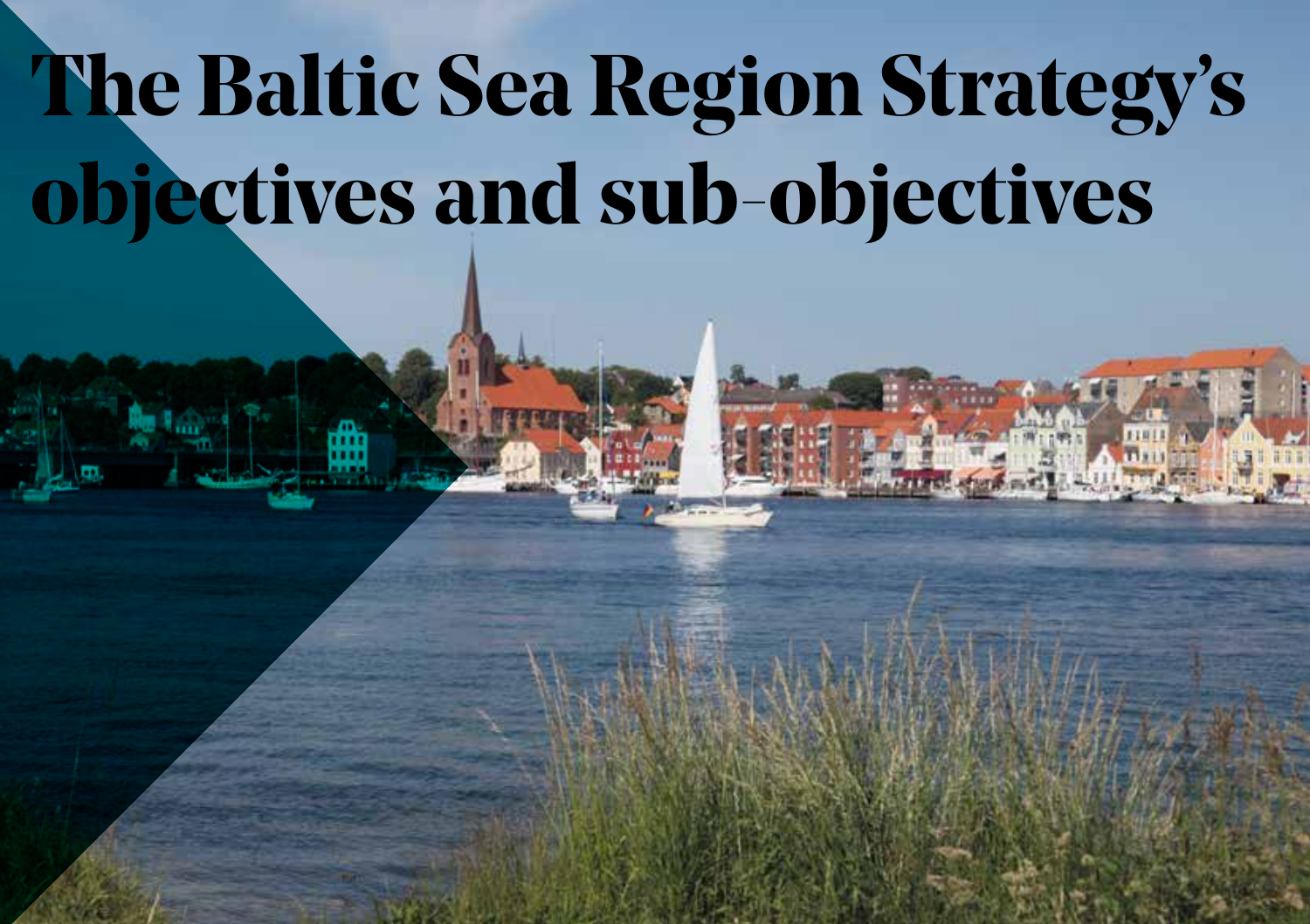# **The Baltic Sea Region Strategy's objectives and sub-objectives**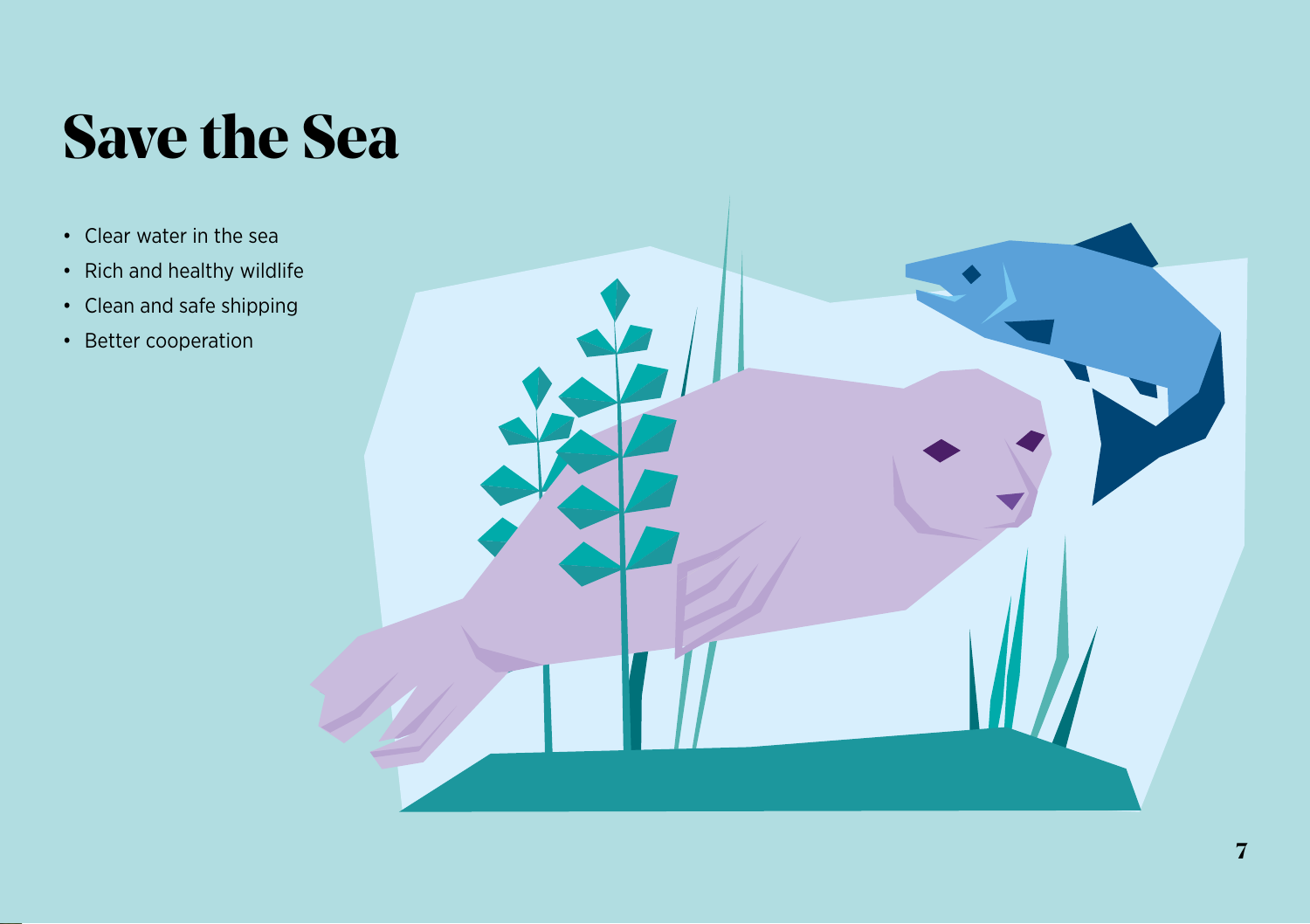### **Save the Sea**

- Clear water in the sea
- Rich and healthy wildlife
- Clean and safe shipping
- Better cooperation

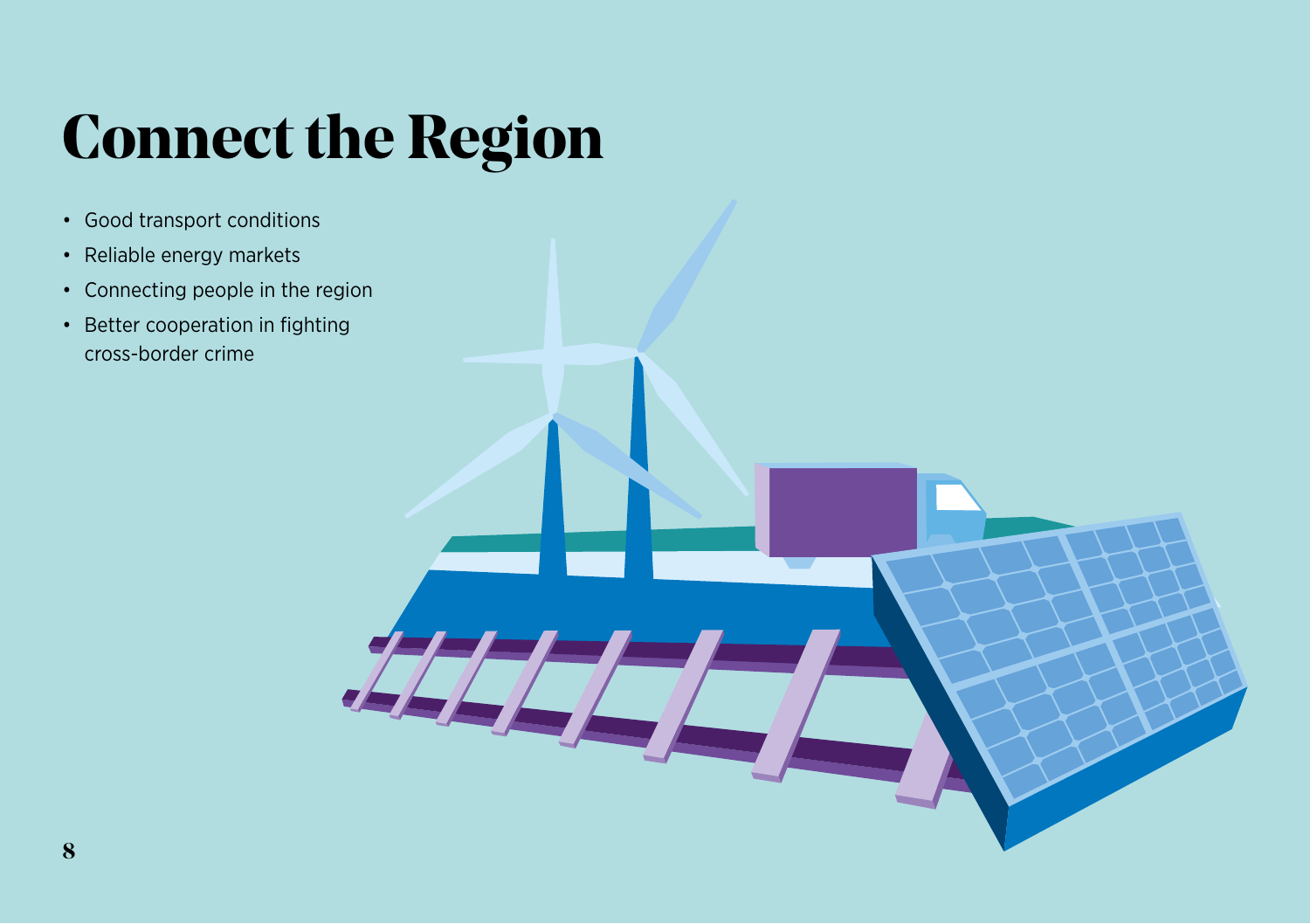### **Connect the Region**

- Good transport conditions
- Reliable energy markets
- Connecting people in the region
- Better cooperation in fighting cross-border crime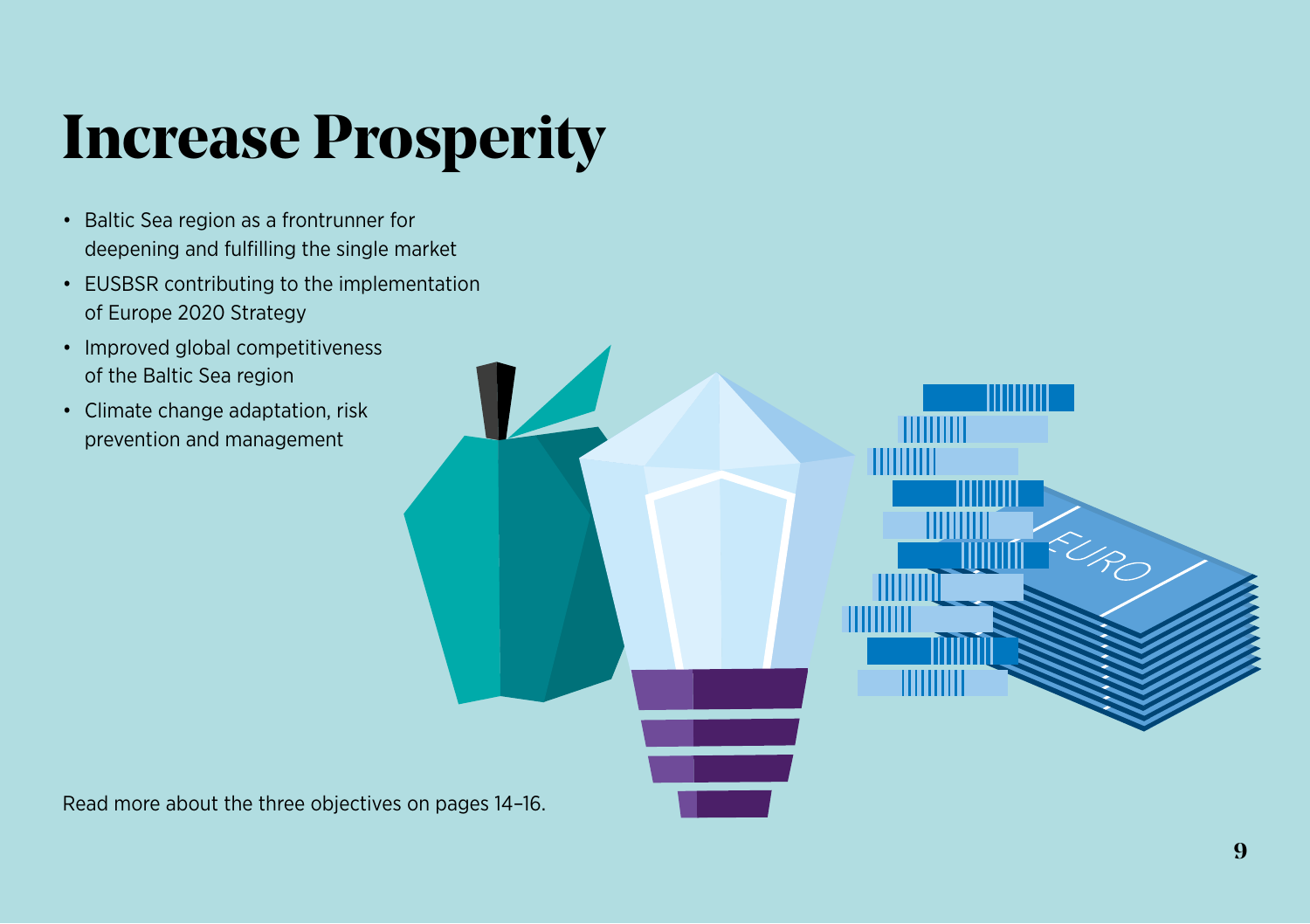### **Increase Prosperity**

- Baltic Sea region as a frontrunner for deepening and fulfilling the single market
- EUSBSR contributing to the implementation of Europe 2020 Strategy
- Improved global competitiveness of the Baltic Sea region
- Climate change adaptation, risk prevention and management

Read more about the three objectives on pages 14–16.

SEK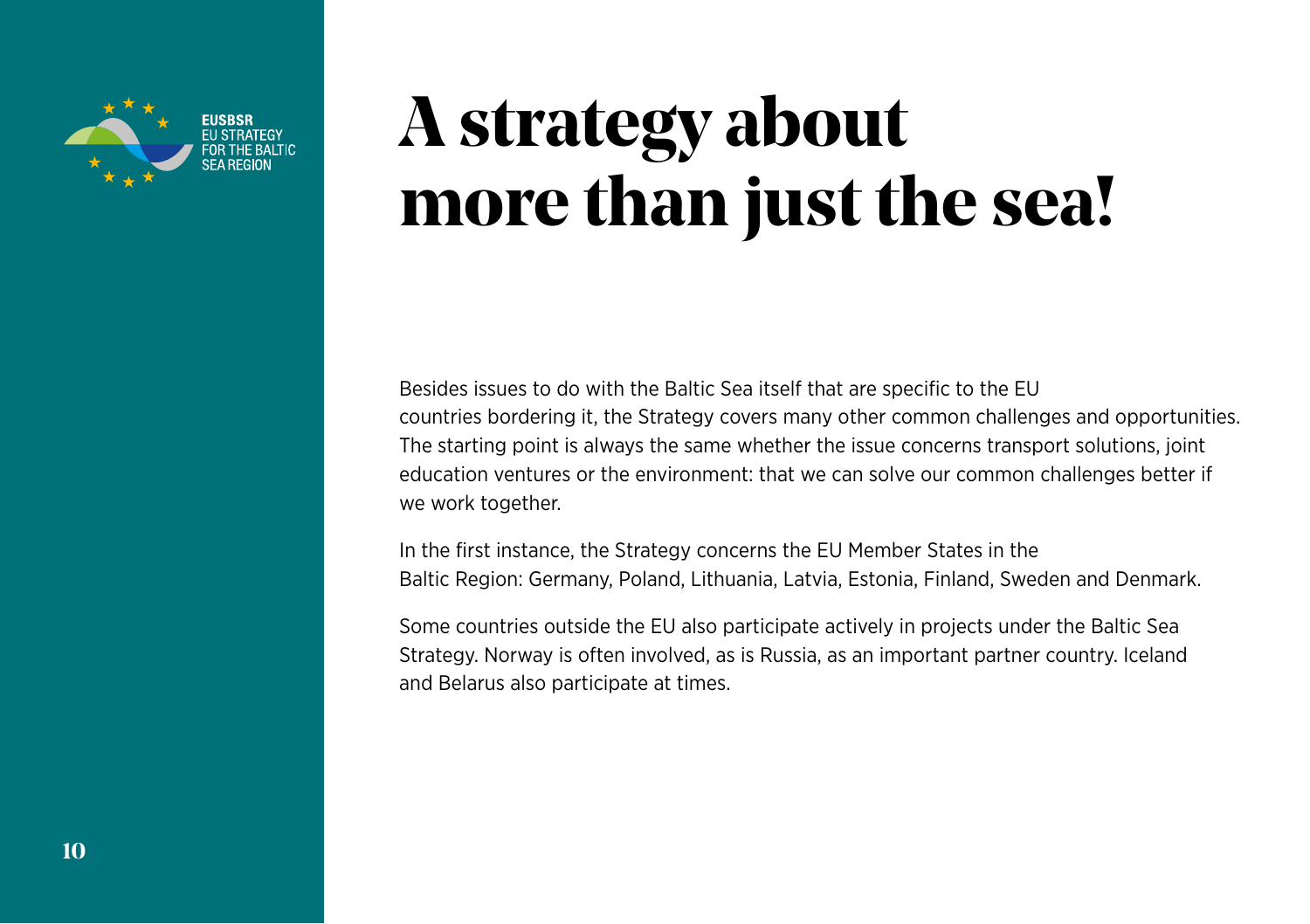

### **A strategy about more than just the sea!**

Besides issues to do with the Baltic Sea itself that are specific to the EU countries bordering it, the Strategy covers many other common challenges and opportunities. The starting point is always the same whether the issue concerns transport solutions, joint education ventures or the environment: that we can solve our common challenges better if we work together.

In the first instance, the Strategy concerns the EU Member States in the Baltic Region: Germany, Poland, Lithuania, Latvia, Estonia, Finland, Sweden and Denmark.

Some countries outside the EU also participate actively in projects under the Baltic Sea Strategy. Norway is often involved, as is Russia, as an important partner country. Iceland and Belarus also participate at times.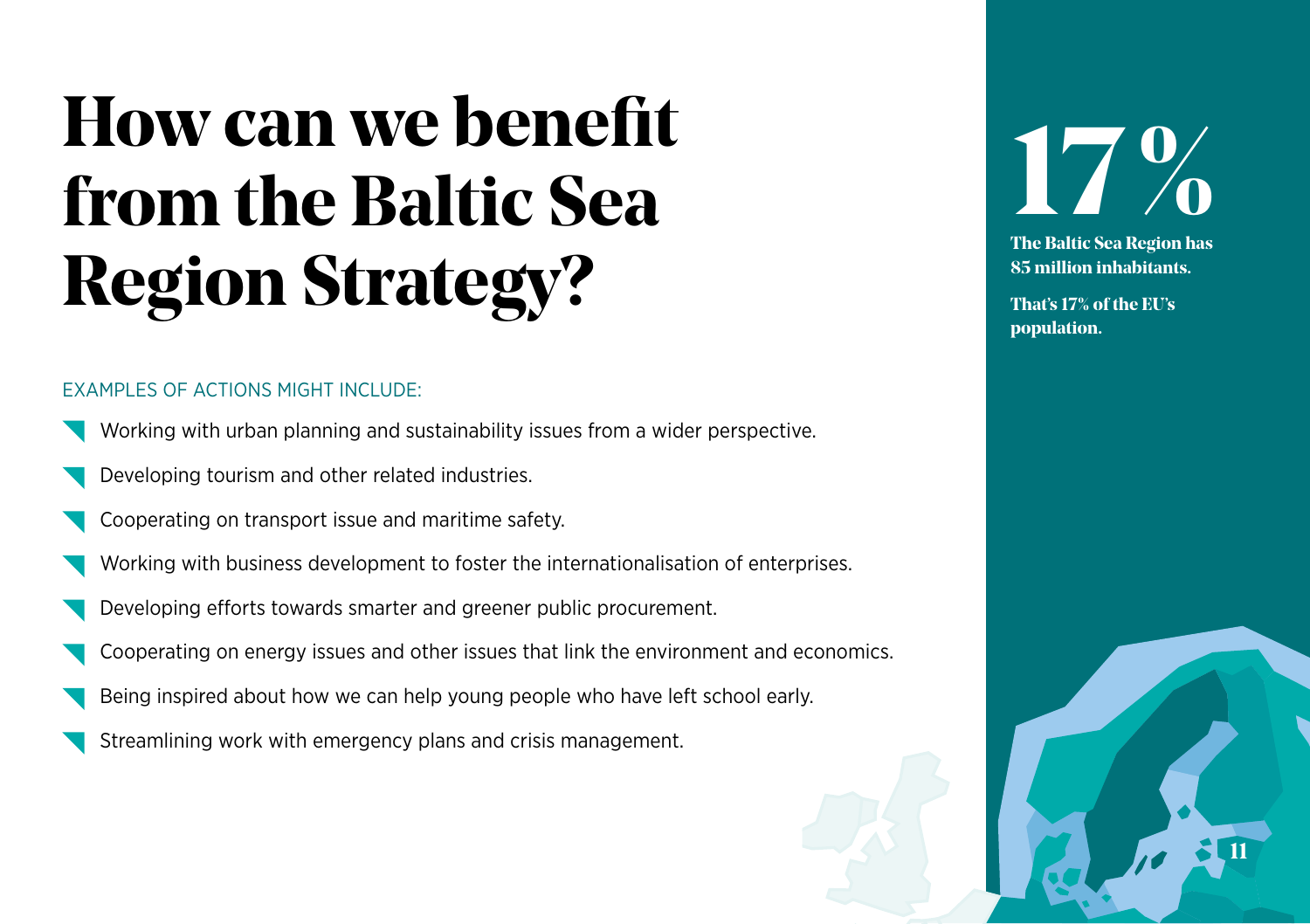### **How can we benefit from the Baltic Sea Region Strategy?**

#### **EXAMPLES OF ACTIONS MIGHT INCLUDE:**

- Working with urban planning and sustainability issues from a wider perspective.
- Developing tourism and other related industries.
- Cooperating on transport issue and maritime safety.
- Working with business development to foster the internationalisation of enterprises.
- Developing efforts towards smarter and greener public procurement.
- Cooperating on energy issues and other issues that link the environment and economics.
- Being inspired about how we can help young people who have left school early.
- Streamlining work with emergency plans and crisis management.

# **17%**

**The Baltic Sea Region has 85 million inhabitants.**

**11**

**That's 17% of the EU's population.**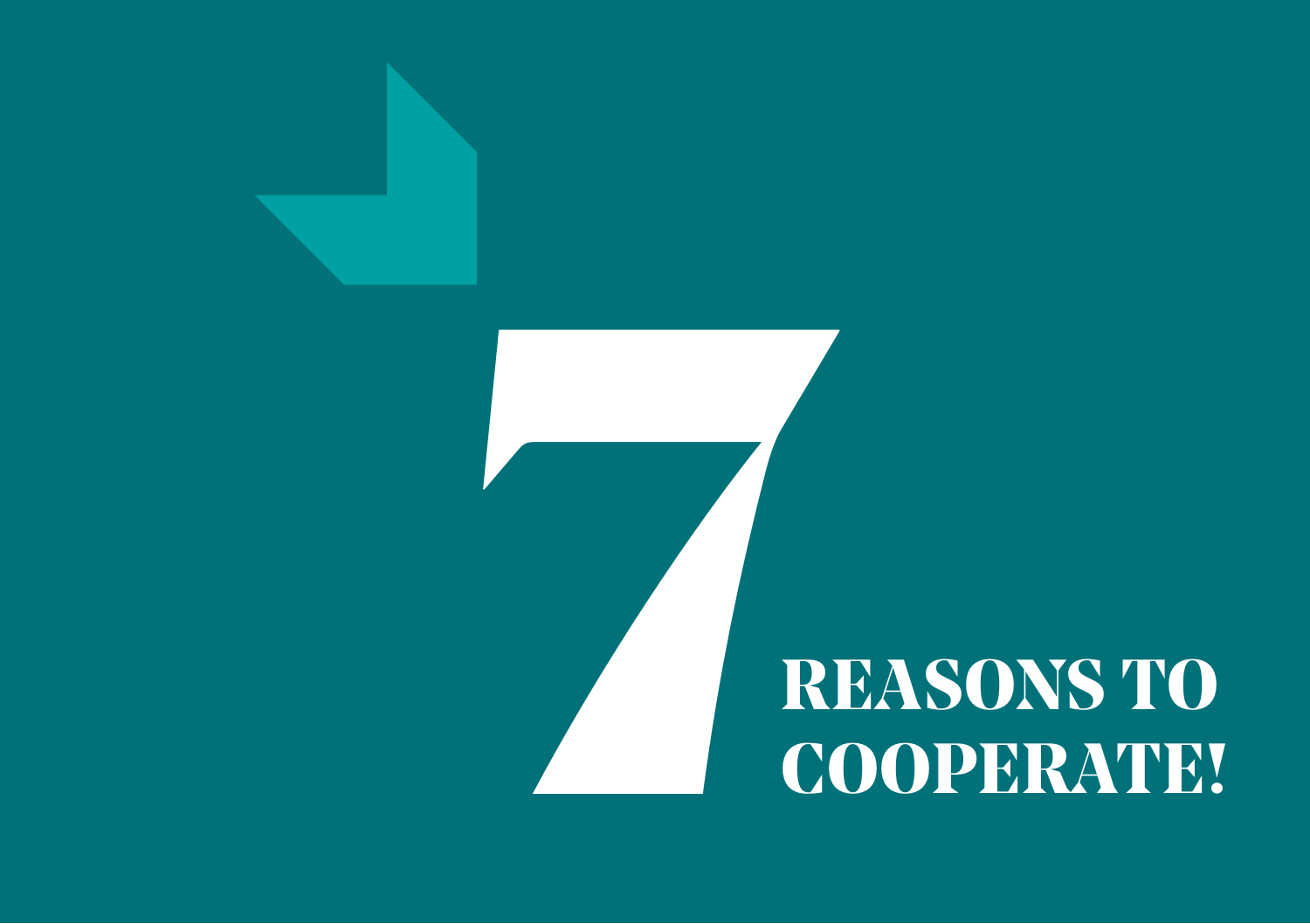

# **REASONS TO**<br>COOPERATE! **COOPERATE!**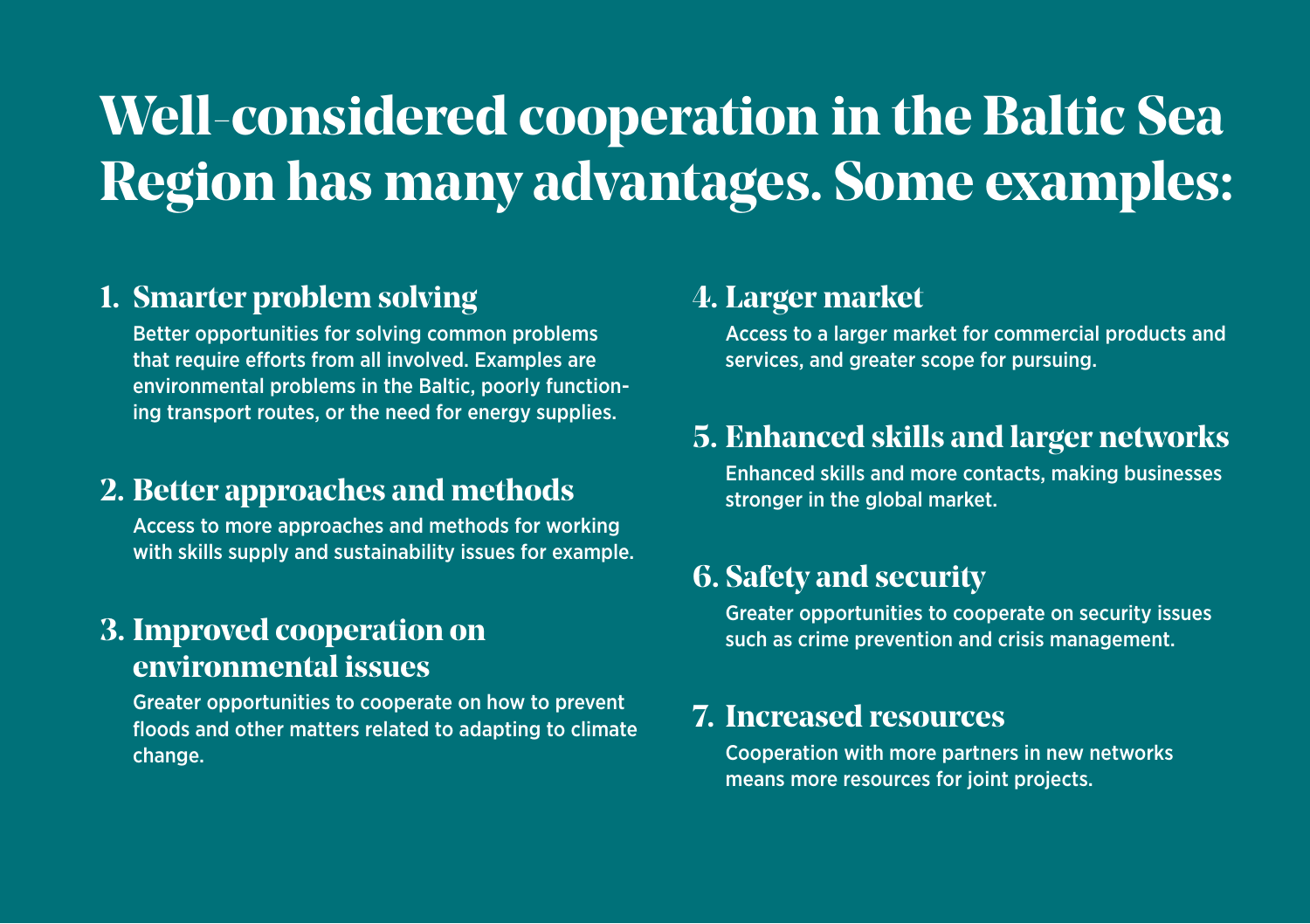### **Well-considered cooperation in the Baltic Sea Region has many advantages. Some examples:**

#### **1. Smarter problem solving**

Better opportunities for solving common problems that require efforts from all involved. Examples are environmental problems in the Baltic, poorly functioning transport routes, or the need for energy supplies.

#### **2. Better approaches and methods**

Access to more approaches and methods for working with skills supply and sustainability issues for example.

#### **3. Improved cooperation on environmental issues**

Greater opportunities to cooperate on how to prevent floods and other matters related to adapting to climate change.

#### **4. Larger market**

Access to a larger market for commercial products and services, and greater scope for pursuing.

#### **5. Enhanced skills and larger networks**

Enhanced skills and more contacts, making businesses stronger in the global market.

#### **6. Safety and security**

Greater opportunities to cooperate on security issues such as crime prevention and crisis management.

#### **7. Increased resources**

Cooperation with more partners in new networks means more resources for joint projects.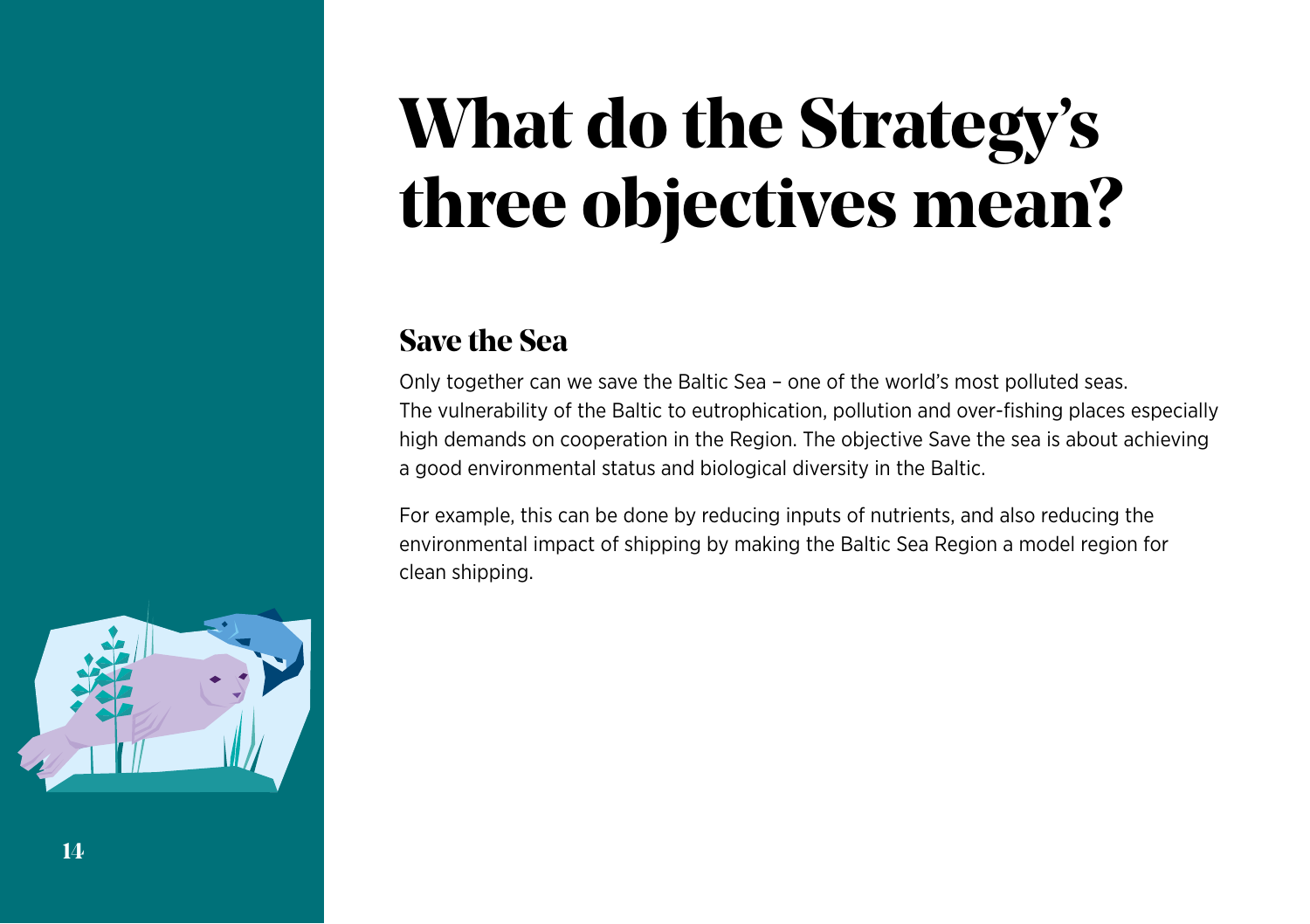### **What do the Strategy's three objectives mean?**

#### **Save the Sea**

Only together can we save the Baltic Sea – one of the world's most polluted seas. The vulnerability of the Baltic to eutrophication, pollution and over-fishing places especially high demands on cooperation in the Region. The objective Save the sea is about achieving a good environmental status and biological diversity in the Baltic.

For example, this can be done by reducing inputs of nutrients, and also reducing the environmental impact of shipping by making the Baltic Sea Region a model region for clean shipping.

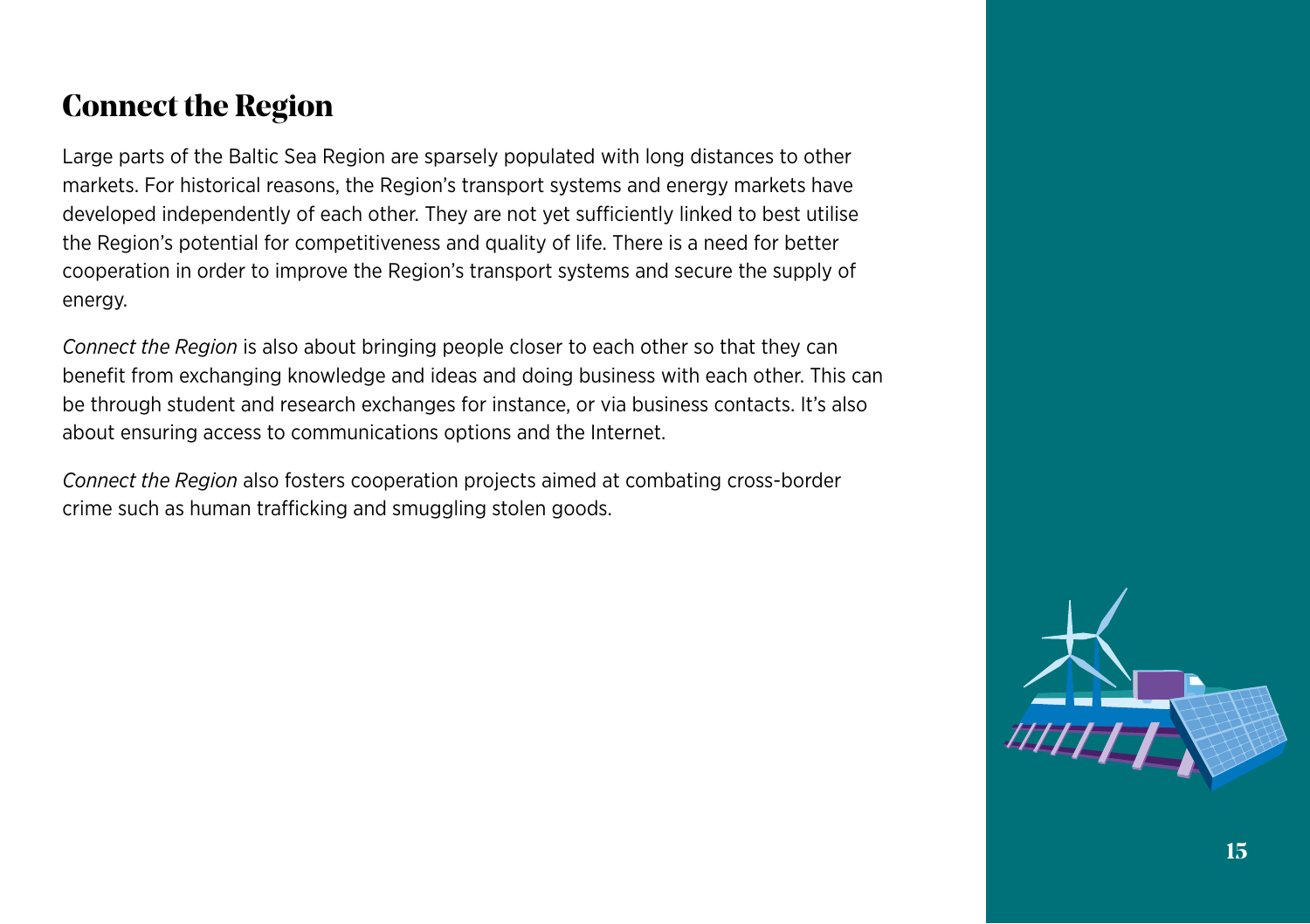#### **Connect the Region**

Large parts of the Baltic Sea Region are sparsely populated with long distances to other markets. For historical reasons, the Region's transport systems and energy markets have developed independently of each other. They are not yet sufficiently linked to best utilise the Region's potential for competitiveness and quality of life. There is a need for better cooperation in order to improve the Region's transport systems and secure the supply of energy.

*Connect the Region* is also about bringing people closer to each other so that they can benefit from exchanging knowledge and ideas and doing business with each other. This can be through student and research exchanges for instance, or via business contacts. It's also about ensuring access to communications options and the Internet.

*Connect the Region* also fosters cooperation projects aimed at combating cross-border crime such as human trafficking and smuggling stolen goods.

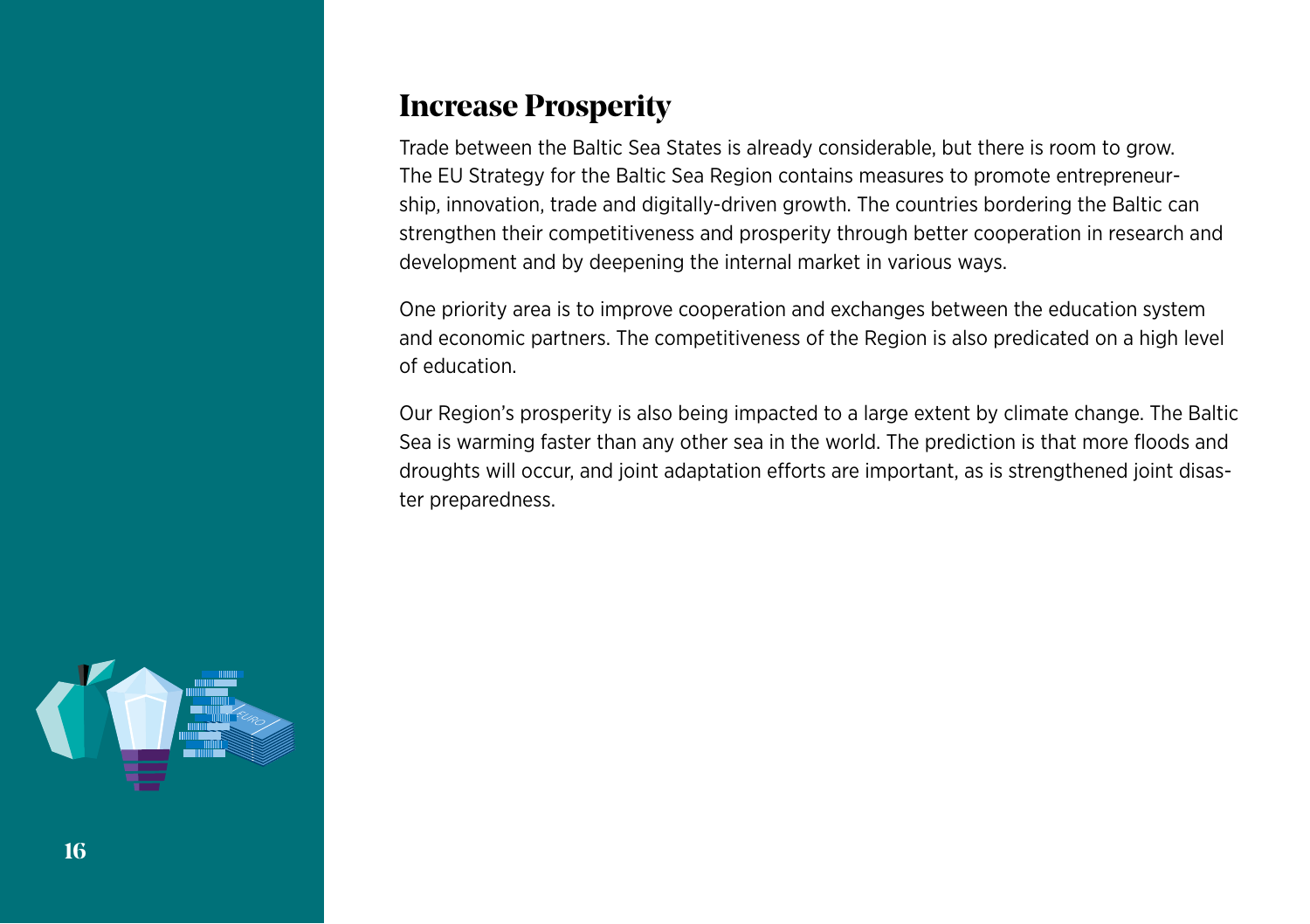#### **Increase Prosperity**

Trade between the Baltic Sea States is already considerable, but there is room to grow. The EU Strategy for the Baltic Sea Region contains measures to promote entrepreneurship, innovation, trade and digitally-driven growth. The countries bordering the Baltic can strengthen their competitiveness and prosperity through better cooperation in research and development and by deepening the internal market in various ways.

One priority area is to improve cooperation and exchanges between the education system and economic partners. The competitiveness of the Region is also predicated on a high level of education.

Our Region's prosperity is also being impacted to a large extent by climate change. The Baltic Sea is warming faster than any other sea in the world. The prediction is that more floods and droughts will occur, and joint adaptation efforts are important, as is strengthened joint disaster preparedness.

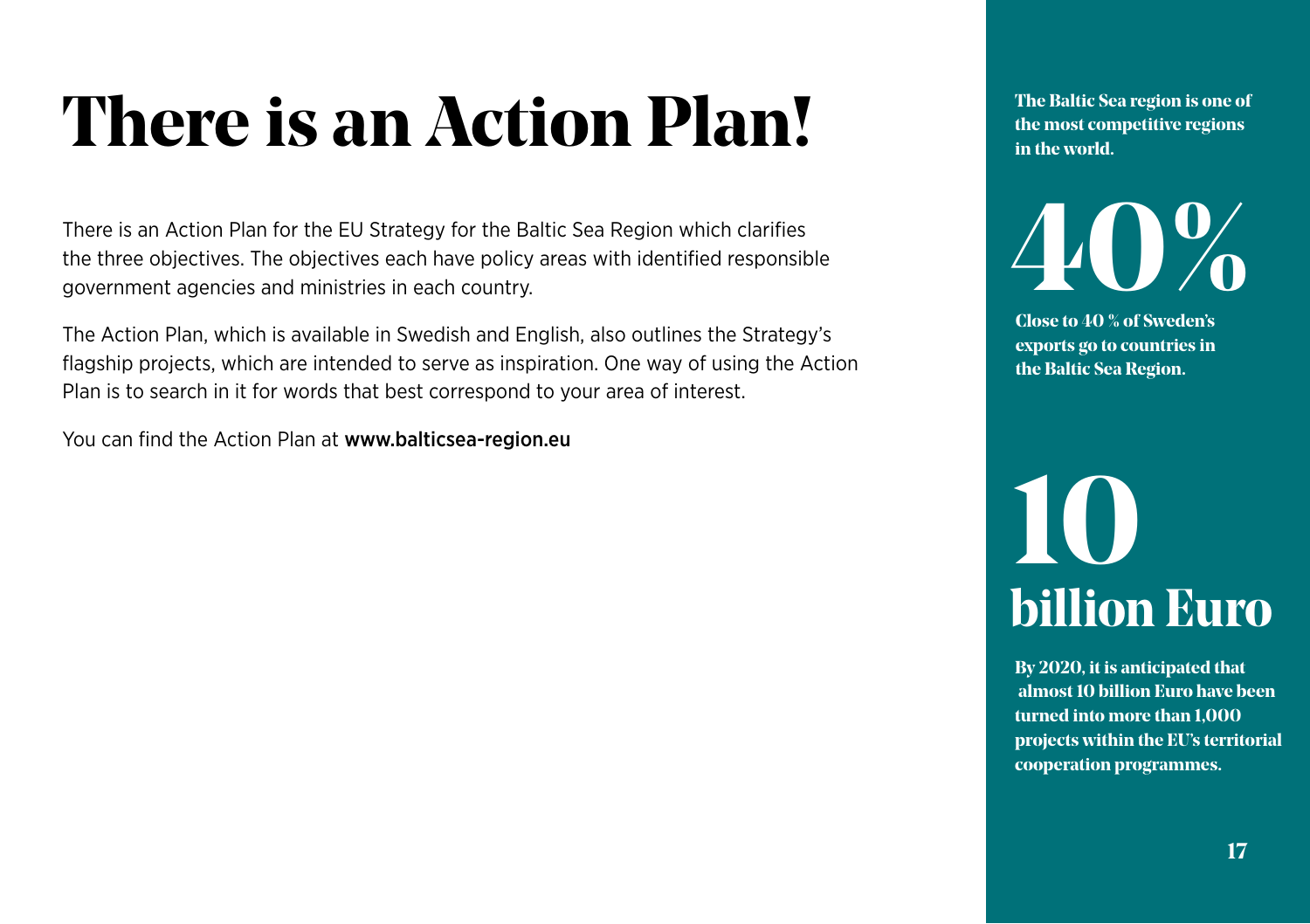### **There is an Action Plan!**

There is an Action Plan for the EU Strategy for the Baltic Sea Region which clarifies the three objectives. The objectives each have policy areas with identified responsible government agencies and ministries in each country.

The Action Plan, which is available in Swedish and English, also outlines the Strategy's flagship projects, which are intended to serve as inspiration. One way of using the Action Plan is to search in it for words that best correspond to your area of interest.

You can find the Action Plan at www.balticsea-region.eu

**The Baltic Sea region is one of the most competitive regions in the world.**

**40%**

**Close to 40 % of Sweden's exports go to countries in the Baltic Sea Region.**

### **10 billion Euro**

**By 2020, it is anticipated that almost 10 billion Euro have been turned into more than 1,000 projects within the EU's territorial cooperation programmes.**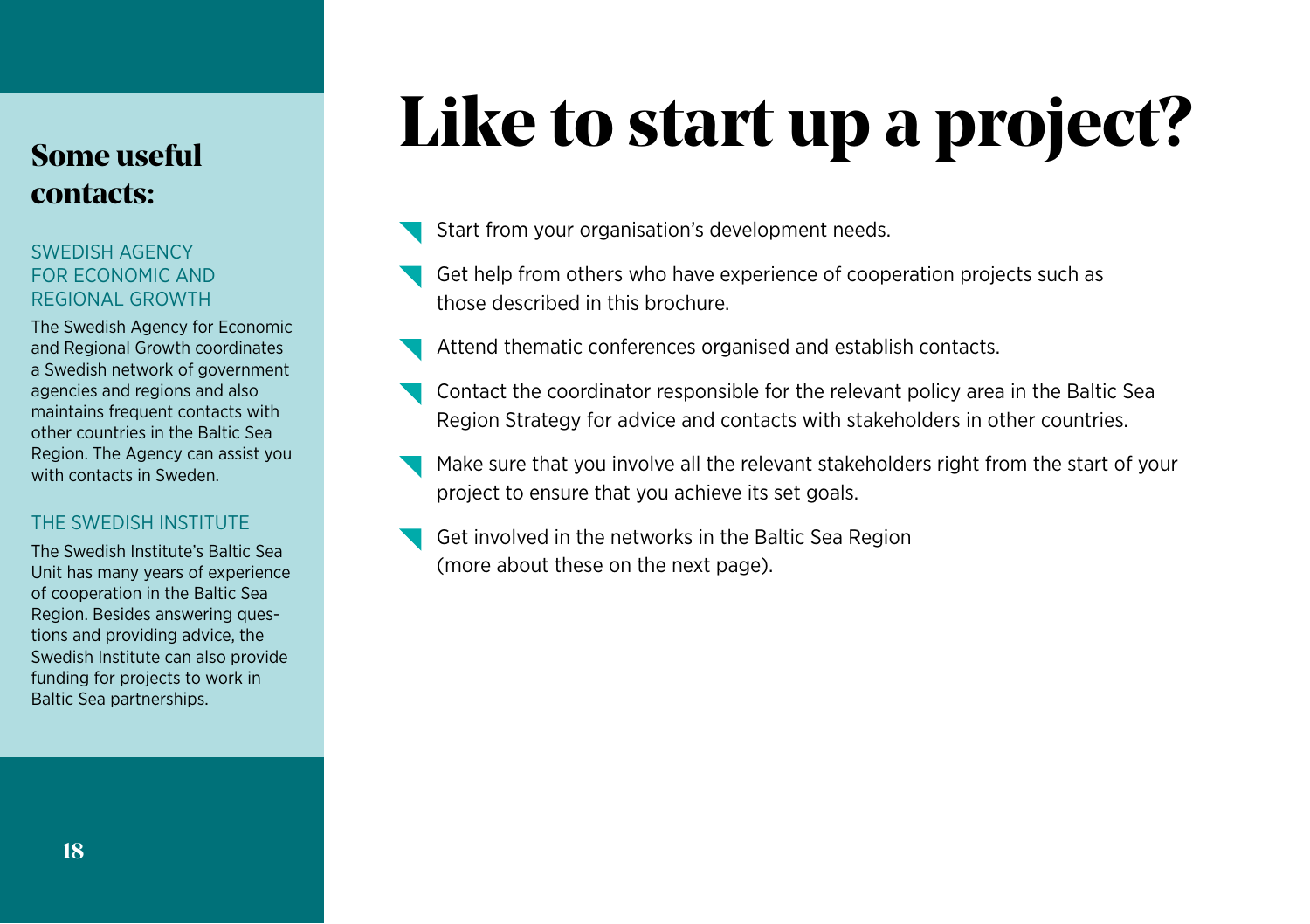#### **Some useful contacts:**

#### SWEDISH AGENCY FOR ECONOMIC AND REGIONAL GROWTH

The Swedish Agency for Economic and Regional Growth coordinates a Swedish network of government agencies and regions and also maintains frequent contacts with other countries in the Baltic Sea Region. The Agency can assist you with contacts in Sweden.

#### THE SWEDISH INSTITUTE

The Swedish Institute's Baltic Sea Unit has many years of experience of cooperation in the Baltic Sea Region. Besides answering questions and providing advice, the Swedish Institute can also provide funding for projects to work in Baltic Sea partnerships.

### **Like to start up a project?**

- Start from your organisation's development needs.
- Get help from others who have experience of cooperation projects such as those described in this brochure.
- Attend thematic conferences organised and establish contacts.
- Contact the coordinator responsible for the relevant policy area in the Baltic Sea Region Strategy for advice and contacts with stakeholders in other countries.
- Make sure that you involve all the relevant stakeholders right from the start of your project to ensure that you achieve its set goals.
- Get involved in the networks in the Baltic Sea Region (more about these on the next page).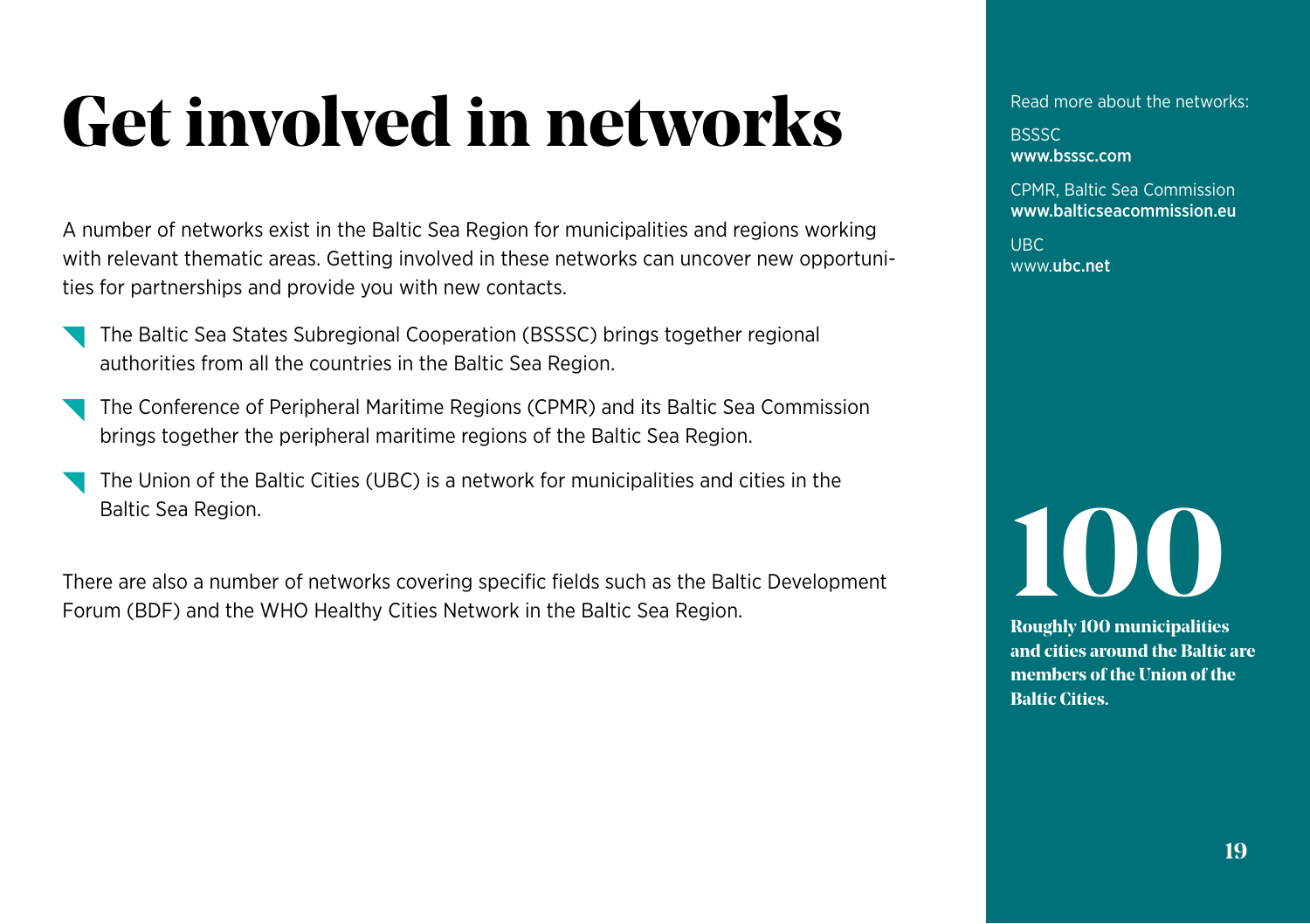### **Get involved in networks**

A number of networks exist in the Baltic Sea Region for municipalities and regions working with relevant thematic areas. Getting involved in these networks can uncover new opportunities for partnerships and provide you with new contacts.

- The Baltic Sea States Subregional Cooperation (BSSSC) brings together regional authorities from all the countries in the Baltic Sea Region.
- The Conference of Peripheral Maritime Regions (CPMR) and its Baltic Sea Commission brings together the peripheral maritime regions of the Baltic Sea Region.
- The Union of the Baltic Cities (UBC) is a network for municipalities and cities in the Baltic Sea Region.

There are also a number of networks covering specific fields such as the Baltic Development Forum (BDF) and the WHO Healthy Cities Network in the Baltic Sea Region.

Read more about the networks:

**BSSSC** www.bsssc.com

CPMR, Baltic Sea Commission www.balticseacommission.eu

UBC www.ubc.net

# **100**

**Roughly 100 municipalities and cities around the Baltic are members of the Union of the Baltic Cities.**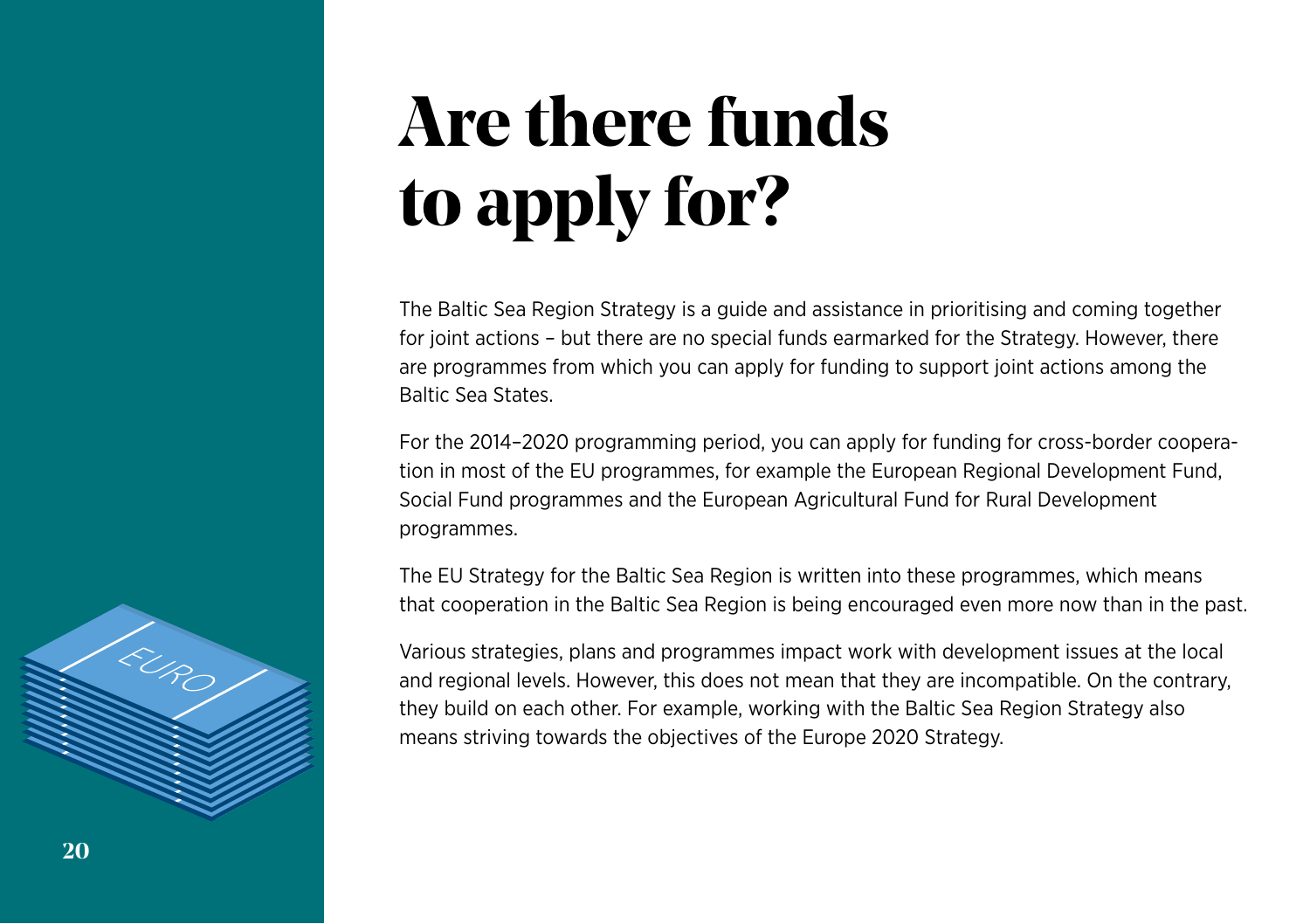### **Are there funds to apply for?**

The Baltic Sea Region Strategy is a guide and assistance in prioritising and coming together for joint actions – but there are no special funds earmarked for the Strategy. However, there are programmes from which you can apply for funding to support joint actions among the Baltic Sea States.

For the 2014–2020 programming period, you can apply for funding for cross-border cooperation in most of the EU programmes, for example the European Regional Development Fund, Social Fund programmes and the European Agricultural Fund for Rural Development programmes.

The EU Strategy for the Baltic Sea Region is written into these programmes, which means that cooperation in the Baltic Sea Region is being encouraged even more now than in the past.

Various strategies, plans and programmes impact work with development issues at the local and regional levels. However, this does not mean that they are incompatible. On the contrary, they build on each other. For example, working with the Baltic Sea Region Strategy also means striving towards the objectives of the Europe 2020 Strategy.

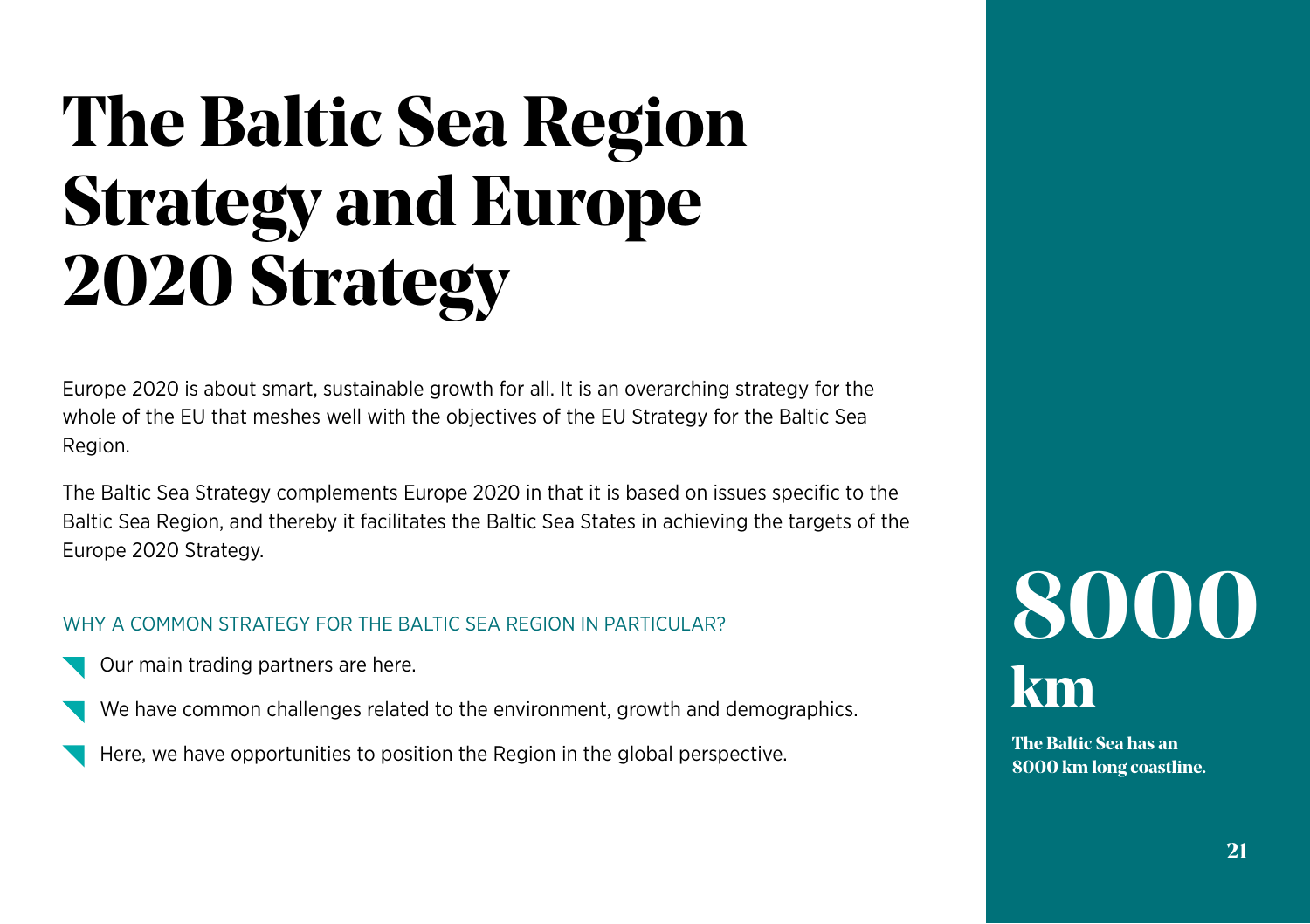### **The Baltic Sea Region Strategy and Europe 2020 Strategy**

Europe 2020 is about smart, sustainable growth for all. It is an overarching strategy for the whole of the EU that meshes well with the objectives of the EU Strategy for the Baltic Sea Region.

The Baltic Sea Strategy complements Europe 2020 in that it is based on issues specific to the Baltic Sea Region, and thereby it facilitates the Baltic Sea States in achieving the targets of the Europe 2020 Strategy.

#### WHY A COMMON STRATEGY FOR THE BALTIC SEA REGION IN PARTICULAR?

- Our main trading partners are here.
- We have common challenges related to the environment, growth and demographics.
- Here, we have opportunities to position the Region in the global perspective.

### **8000 km**

**The Baltic Sea has an 8000 km long coastline.**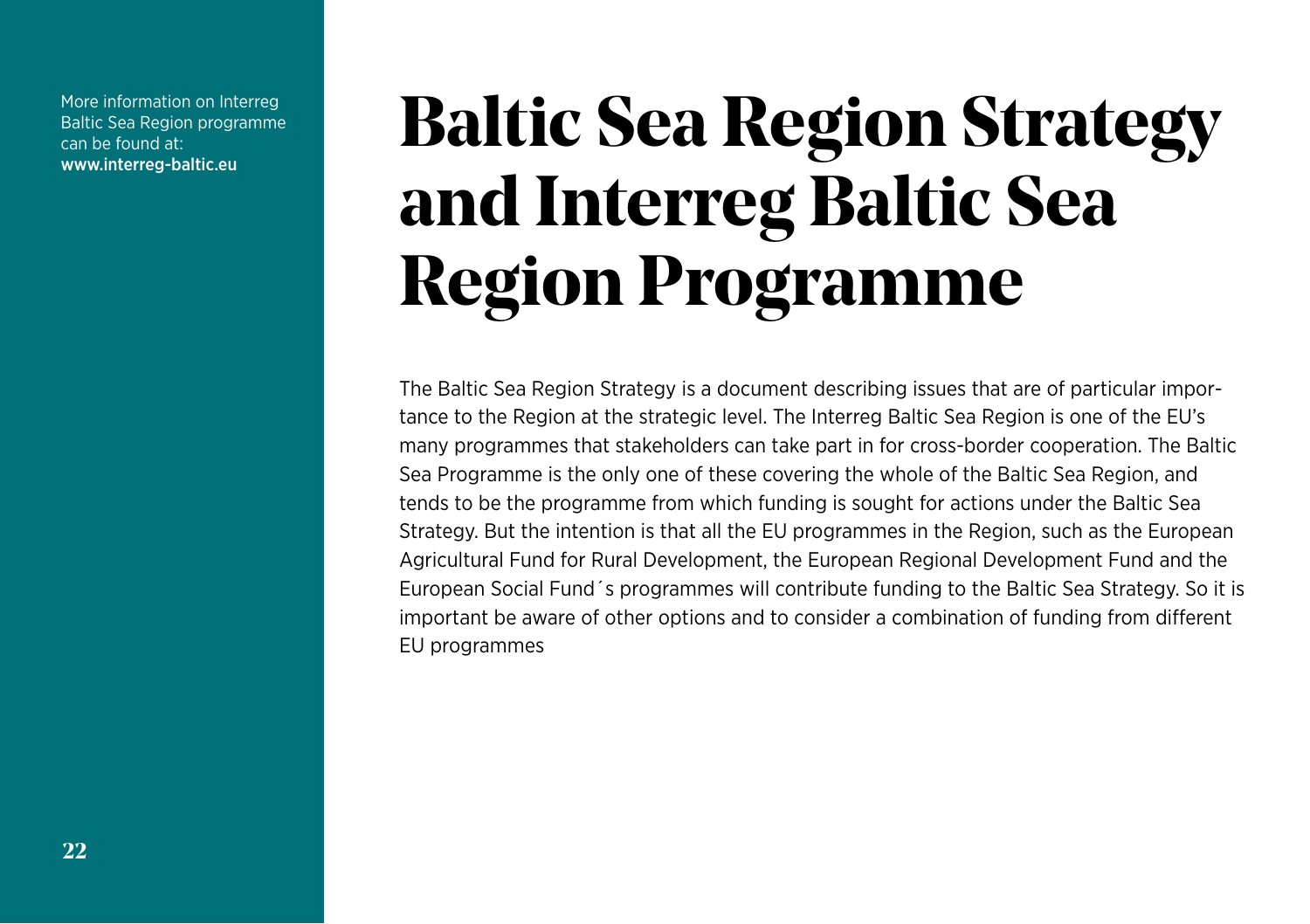More information on Interreg Baltic Sea Region programme can be found at: www.interreg-baltic.eu

### **Baltic Sea Region Strategy and Interreg Baltic Sea Region Programme**

The Baltic Sea Region Strategy is a document describing issues that are of particular importance to the Region at the strategic level. The Interreg Baltic Sea Region is one of the EU's many programmes that stakeholders can take part in for cross-border cooperation. The Baltic Sea Programme is the only one of these covering the whole of the Baltic Sea Region, and tends to be the programme from which funding is sought for actions under the Baltic Sea Strategy. But the intention is that all the EU programmes in the Region, such as the European Agricultural Fund for Rural Development, the European Regional Development Fund and the European Social Fund´s programmes will contribute funding to the Baltic Sea Strategy. So it is important be aware of other options and to consider a combination of funding from different EU programmes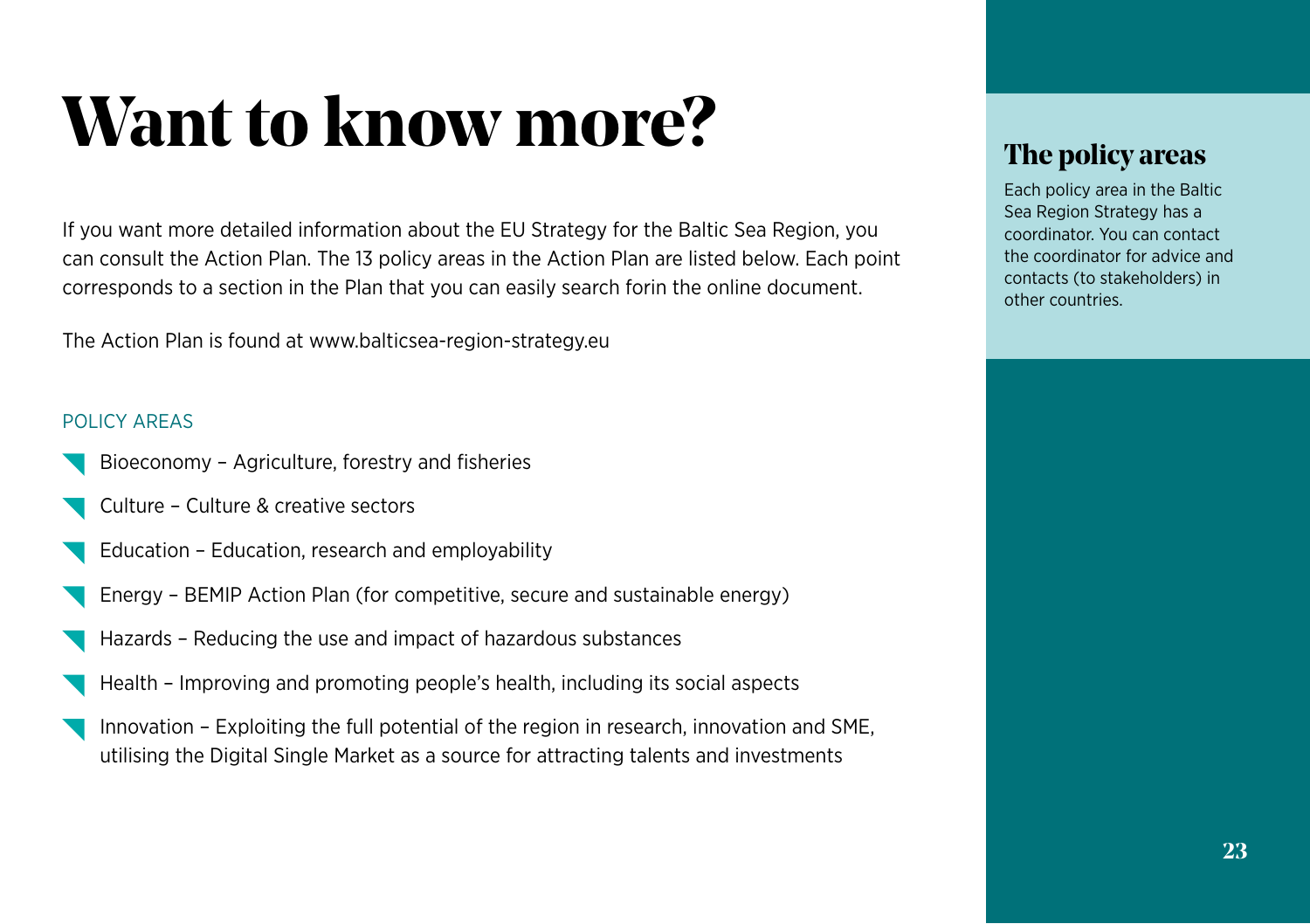### **Want to know more?**

If you want more detailed information about the EU Strategy for the Baltic Sea Region, you can consult the Action Plan. The 13 policy areas in the Action Plan are listed below. Each point corresponds to a section in the Plan that you can easily search forin the online document.

The Action Plan is found at www.balticsea-region-strategy.eu

#### POLICY AREAS

- Bioeconomy Agriculture, forestry and fisheries
- Culture Culture & creative sectors
- Education Education, research and employability
- Energy BEMIP Action Plan (for competitive, secure and sustainable energy)
- Hazards Reducing the use and impact of hazardous substances
- Health Improving and promoting people's health, including its social aspects
- Innovation Exploiting the full potential of the region in research, innovation and SME, utilising the Digital Single Market as a source for attracting talents and investments

#### **The policy areas**

Each policy area in the Baltic Sea Region Strategy has a coordinator. You can contact the coordinator for advice and contacts (to stakeholders) in other countries.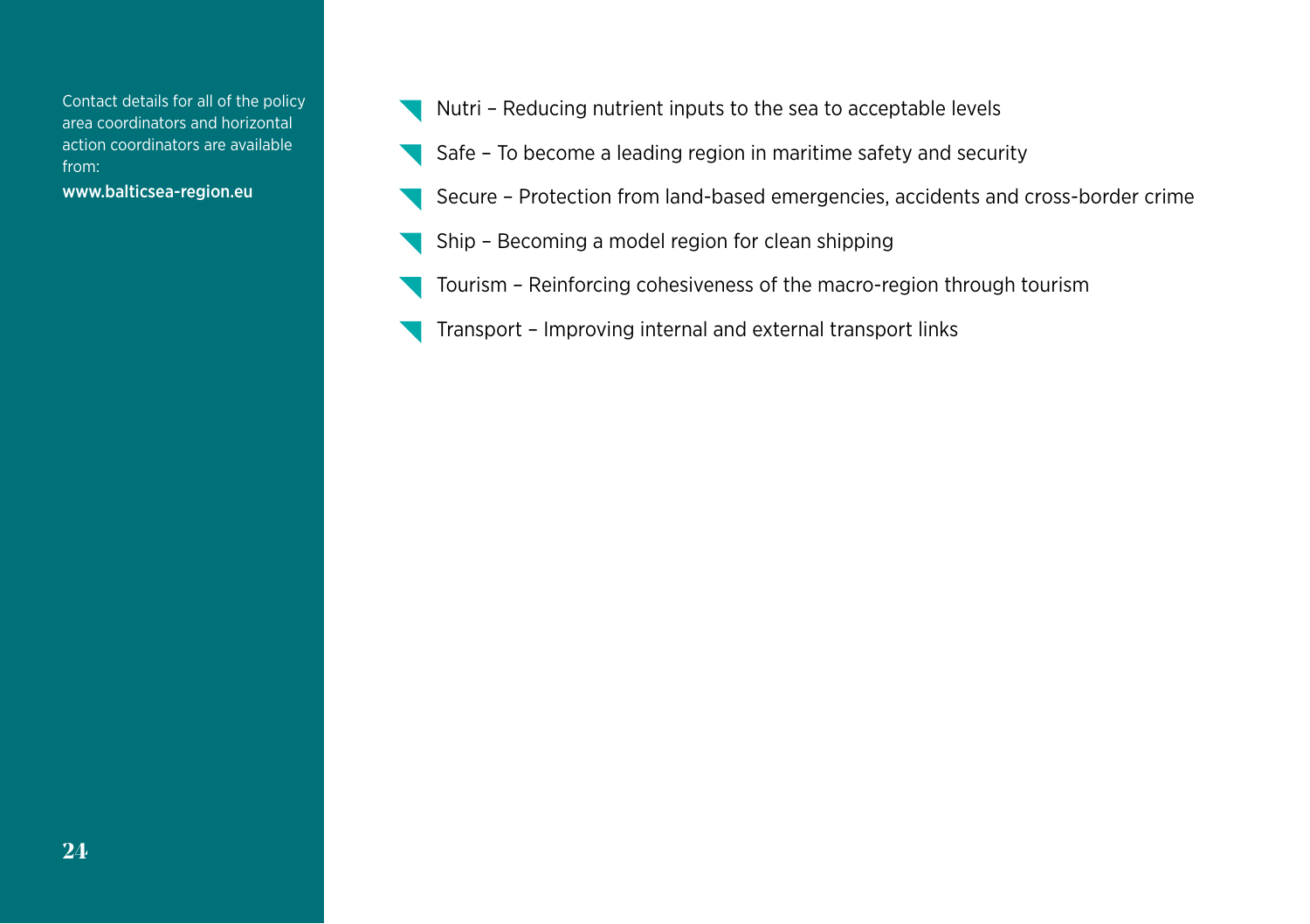Contact details for all of the policy area coordinators and horizontal action coordinators are available from:

www.balticsea-region.eu

- Nutri Reducing nutrient inputs to the sea to acceptable levels
- Safe To become a leading region in maritime safety and security
- Secure Protection from land-based emergencies, accidents and cross-border crime
- Ship Becoming a model region for clean shipping
- Tourism Reinforcing cohesiveness of the macro-region through tourism
- Transport Improving internal and external transport links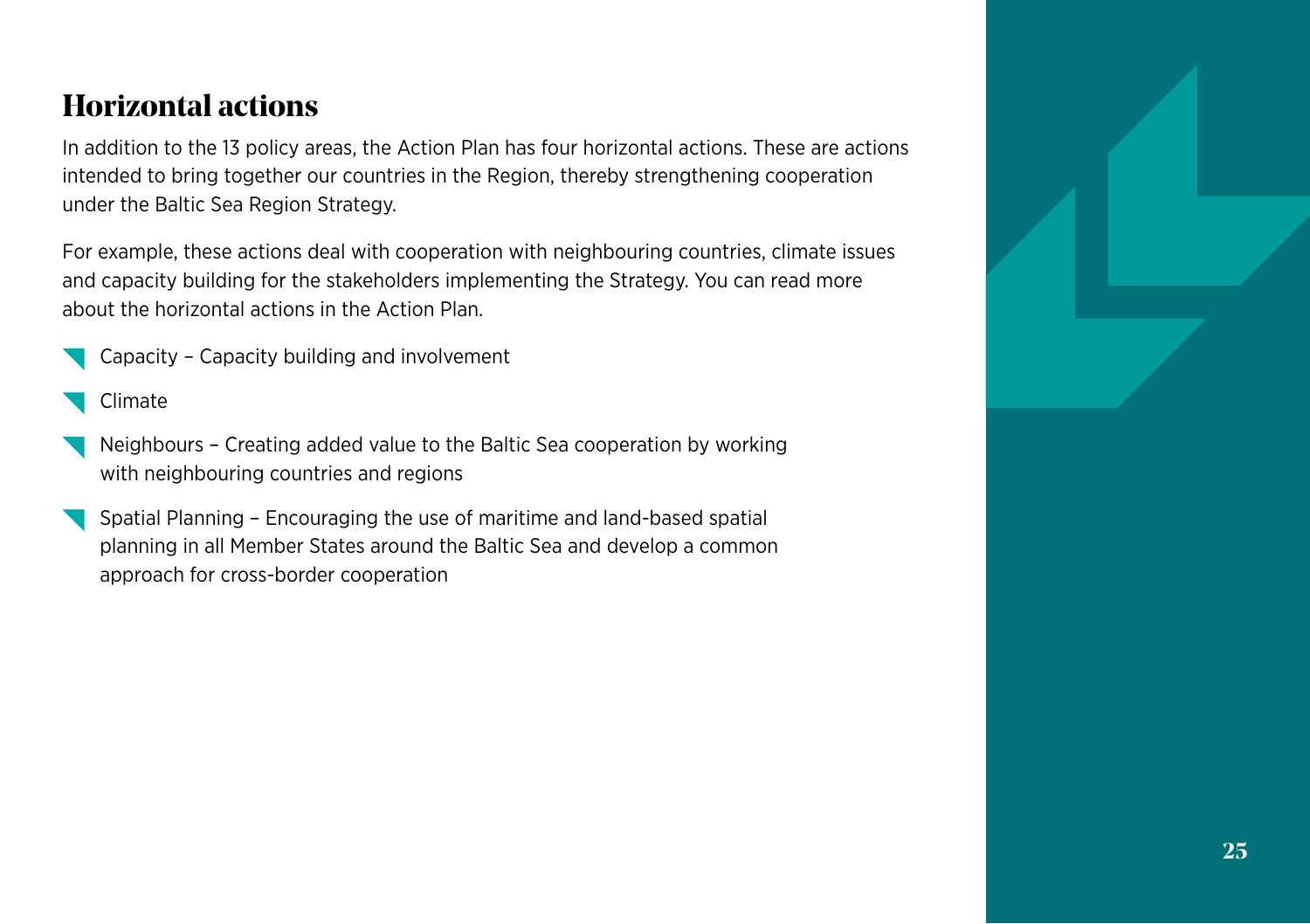#### **Horizontal actions**

In addition to the 13 policy areas, the Action Plan has four horizontal actions. These are actions intended to bring together our countries in the Region, thereby strengthening cooperation under the Baltic Sea Region Strategy.

For example, these actions deal with cooperation with neighbouring countries, climate issues and capacity building for the stakeholders implementing the Strategy. You can read more about the horizontal actions in the Action Plan.

- Capacity Capacity building and involvement
- Climate
- Neighbours Creating added value to the Baltic Sea cooperation by working with neighbouring countries and regions
- Spatial Planning Encouraging the use of maritime and land-based spatial planning in all Member States around the Baltic Sea and develop a common approach for cross-border cooperation

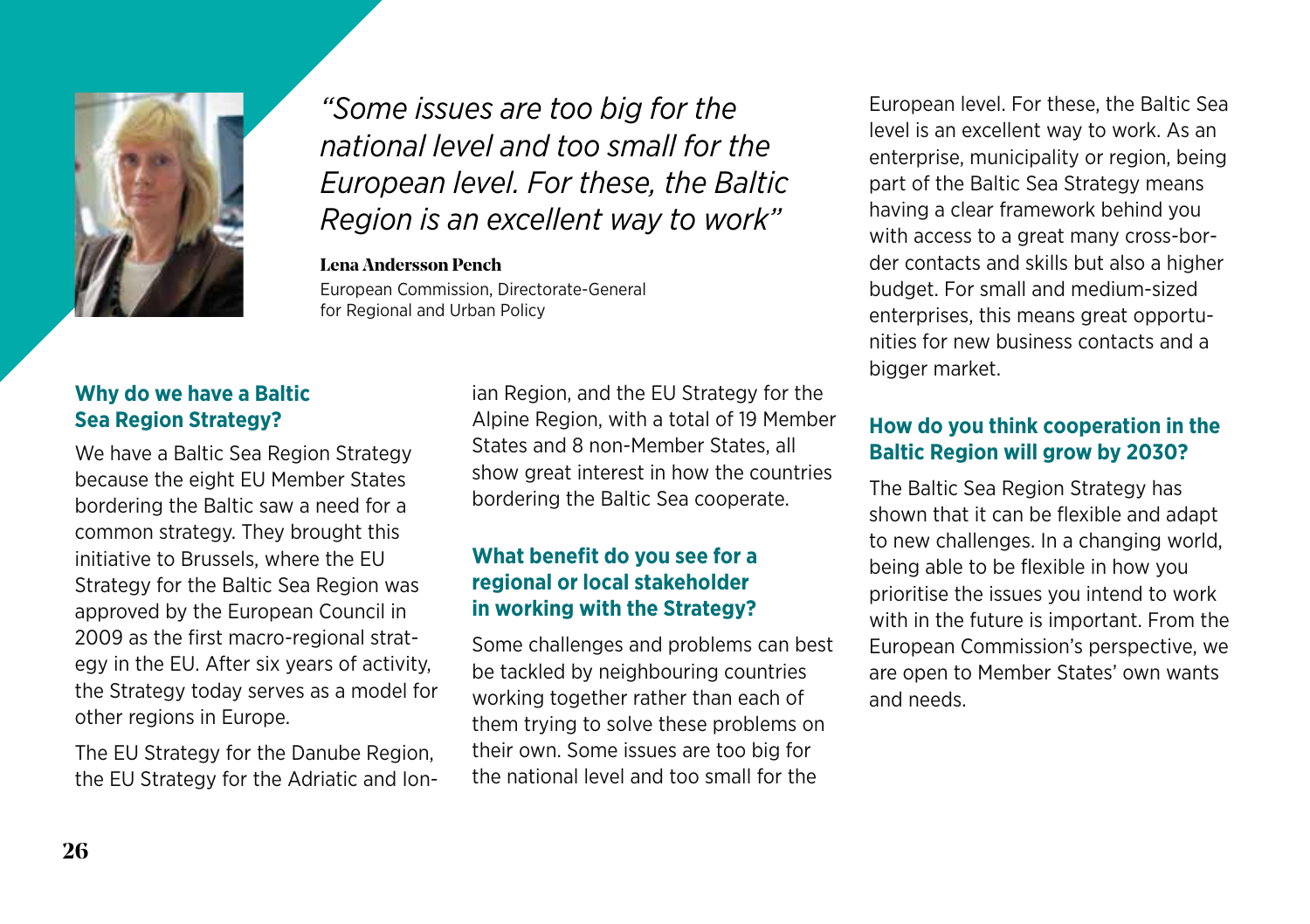

*"Some issues are too big for the national level and too small for the European level. For these, the Baltic Region is an excellent way to work"*

#### **Lena Andersson Pench**

European Commission, Directorate-General for Regional and Urban Policy

#### **Why do we have a Baltic Sea Region Strategy?**

We have a Baltic Sea Region Strategy because the eight EU Member States bordering the Baltic saw a need for a common strategy. They brought this initiative to Brussels, where the EU Strategy for the Baltic Sea Region was approved by the European Council in 2009 as the first macro-regional strategy in the EU. After six years of activity, the Strategy today serves as a model for other regions in Europe.

The EU Strategy for the Danube Region, the EU Strategy for the Adriatic and Ionian Region, and the EU Strategy for the Alpine Region, with a total of 19 Member States and 8 non-Member States, all show great interest in how the countries bordering the Baltic Sea cooperate.

#### **What benefit do you see for a regional or local stakeholder in working with the Strategy?**

Some challenges and problems can best be tackled by neighbouring countries working together rather than each of them trying to solve these problems on their own. Some issues are too big for the national level and too small for the

European level. For these, the Baltic Sea level is an excellent way to work. As an enterprise, municipality or region, being part of the Baltic Sea Strategy means having a clear framework behind you with access to a great many cross-border contacts and skills but also a higher budget. For small and medium-sized enterprises, this means great opportunities for new business contacts and a bigger market.

#### **How do you think cooperation in the Baltic Region will grow by 2030?**

The Baltic Sea Region Strategy has shown that it can be flexible and adapt to new challenges. In a changing world, being able to be flexible in how you prioritise the issues you intend to work with in the future is important. From the European Commission's perspective, we are open to Member States' own wants and needs.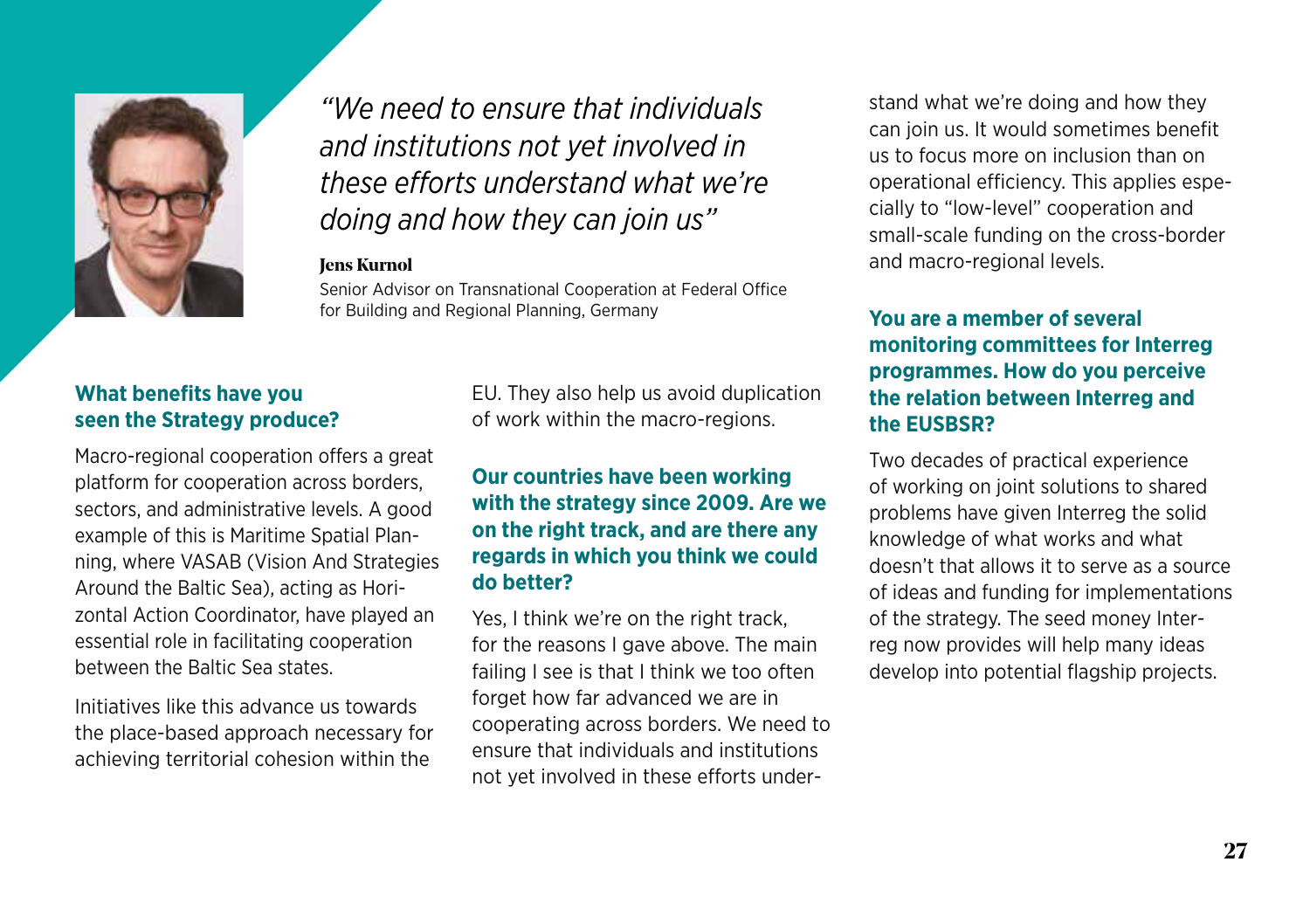

*"We need to ensure that individuals and institutions not yet involved in these efforts understand what we're doing and how they can join us"*

#### **Jens Kurnol**

Senior Advisor on Transnational Cooperation at Federal Office for Building and Regional Planning, Germany

#### **What benefits have you seen the Strategy produce?**

Macro-regional cooperation offers a great platform for cooperation across borders, sectors, and administrative levels. A good example of this is Maritime Spatial Planning, where VASAB (Vision And Strategies Around the Baltic Sea), acting as Horizontal Action Coordinator, have played an essential role in facilitating cooperation between the Baltic Sea states.

Initiatives like this advance us towards the place-based approach necessary for achieving territorial cohesion within the

EU. They also help us avoid duplication of work within the macro-regions.

#### **Our countries have been working with the strategy since 2009. Are we on the right track, and are there any regards in which you think we could do better?**

Yes, I think we're on the right track, for the reasons I gave above. The main failing I see is that I think we too often forget how far advanced we are in cooperating across borders. We need to ensure that individuals and institutions not yet involved in these efforts understand what we're doing and how they can join us. It would sometimes benefit us to focus more on inclusion than on operational efficiency. This applies especially to "low-level" cooperation and small-scale funding on the cross-border and macro-regional levels.

#### **You are a member of several monitoring committees for Interreg programmes. How do you perceive the relation between Interreg and the EUSBSR?**

Two decades of practical experience of working on joint solutions to shared problems have given Interreg the solid knowledge of what works and what doesn't that allows it to serve as a source of ideas and funding for implementations of the strategy. The seed money Interreg now provides will help many ideas develop into potential flagship projects.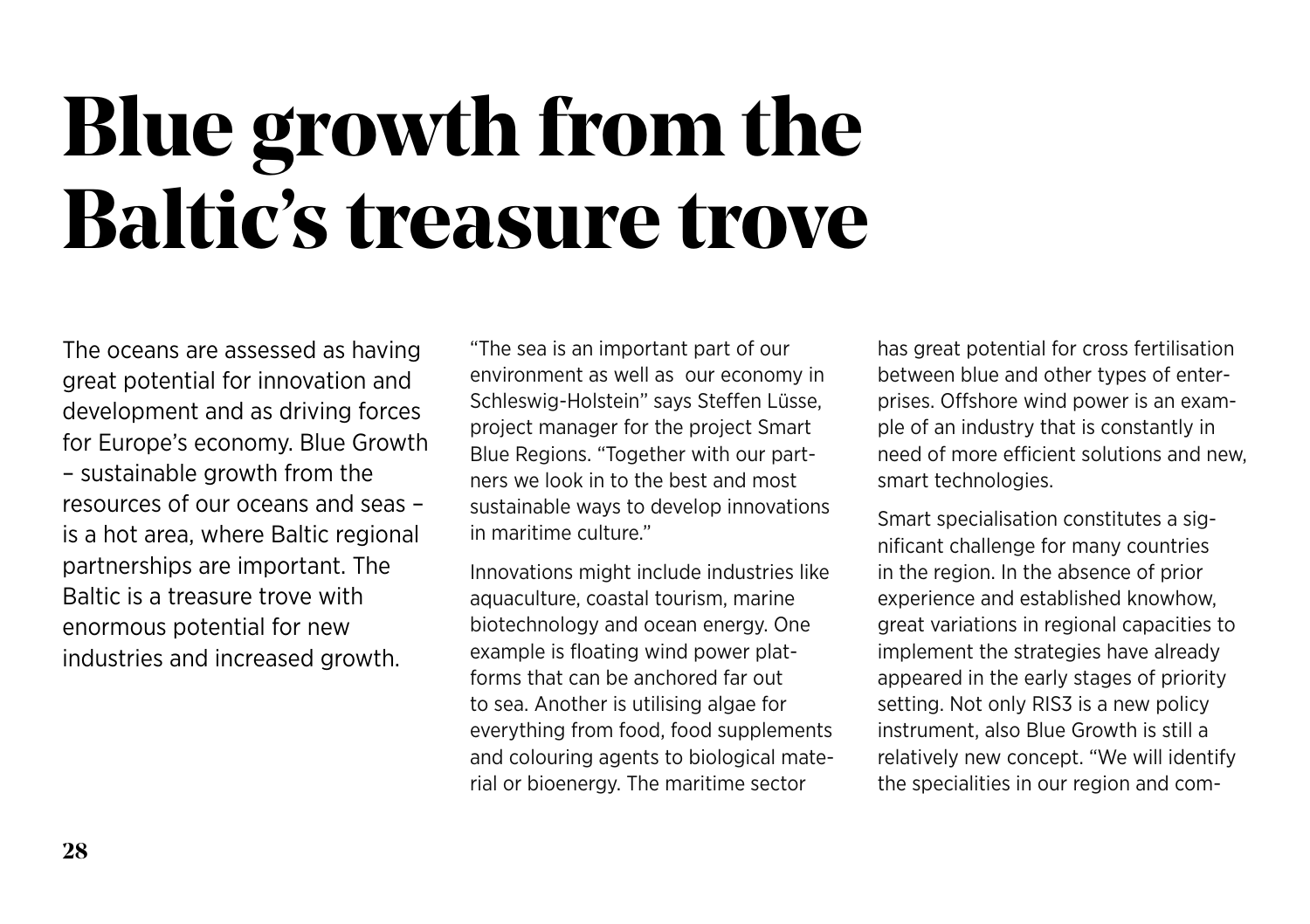### **Blue growth from the Baltic's treasure trove**

The oceans are assessed as having great potential for innovation and development and as driving forces for Europe's economy. Blue Growth – sustainable growth from the resources of our oceans and seas – is a hot area, where Baltic regional partnerships are important. The Baltic is a treasure trove with enormous potential for new industries and increased growth.

"The sea is an important part of our environment as well as our economy in Schleswig-Holstein" says Steffen Lüsse, project manager for the project Smart Blue Regions. "Together with our partners we look in to the best and most sustainable ways to develop innovations in maritime culture."

Innovations might include industries like aquaculture, coastal tourism, marine biotechnology and ocean energy. One example is floating wind power platforms that can be anchored far out to sea. Another is utilising algae for everything from food, food supplements and colouring agents to biological material or bioenergy. The maritime sector

has great potential for cross fertilisation between blue and other types of enterprises. Offshore wind power is an example of an industry that is constantly in need of more efficient solutions and new, smart technologies.

Smart specialisation constitutes a significant challenge for many countries in the region. In the absence of prior experience and established knowhow, great variations in regional capacities to implement the strategies have already appeared in the early stages of priority setting. Not only RIS3 is a new policy instrument, also Blue Growth is still a relatively new concept. "We will identify the specialities in our region and com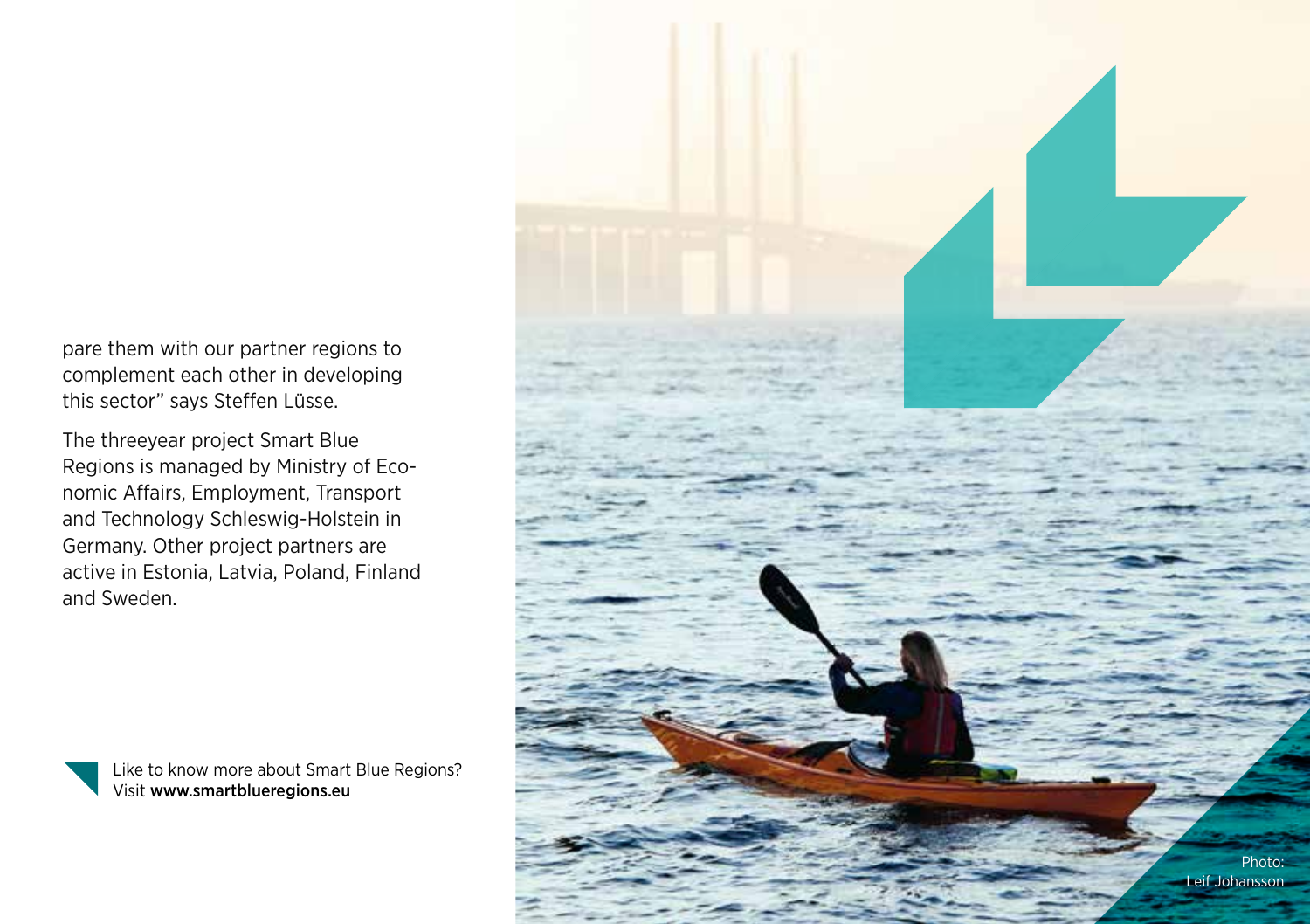pare them with our partner regions to complement each other in developing this sector" says Steffen Lüsse.

The threeyear project Smart Blue Regions is managed by Ministry of Eco nomic Affairs, Employment, Transport and Technology Schleswig-Holstein in Germany. Other project partners are active in Estonia, Latvia, Poland, Finland and Sweden.

> Like to know more about Smart Blue Regions? Visit [www.smartblueregions.eu](http://www.smartblueregions.eu/)

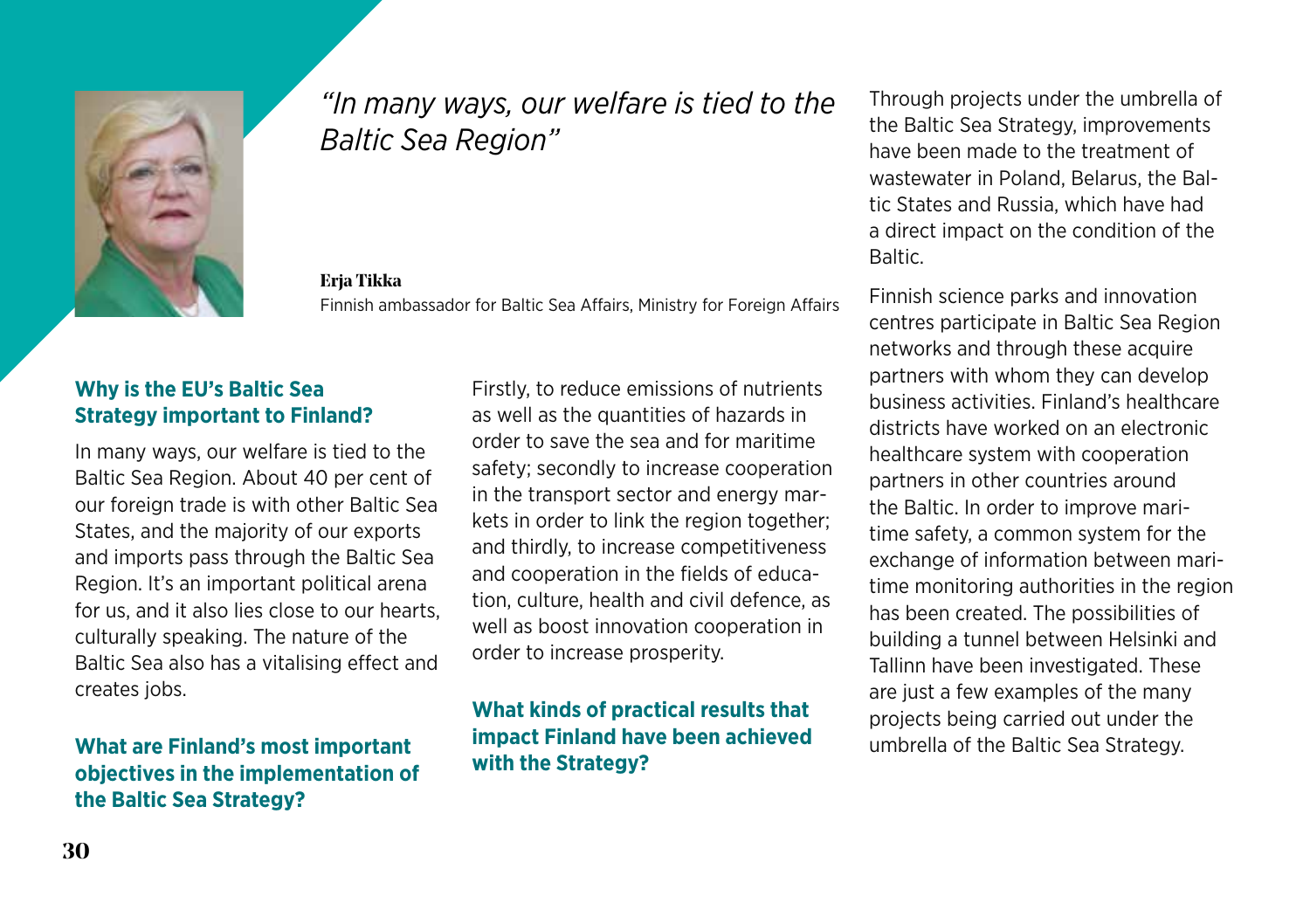

#### *"In many ways, our welfare is tied to the Baltic Sea Region"*

**Erja Tikka** Finnish ambassador for Baltic Sea Affairs, Ministry for Foreign Affairs

#### **Why is the EU's Baltic Sea Strategy important to Finland?**

In many ways, our welfare is tied to the Baltic Sea Region. About 40 per cent of our foreign trade is with other Baltic Sea States, and the majority of our exports and imports pass through the Baltic Sea Region. It's an important political arena for us, and it also lies close to our hearts, culturally speaking. The nature of the Baltic Sea also has a vitalising effect and creates jobs.

#### **What are Finland's most important objectives in the implementation of the Baltic Sea Strategy?**

Firstly, to reduce emissions of nutrients as well as the quantities of hazards in order to save the sea and for maritime safety; secondly to increase cooperation in the transport sector and energy markets in order to link the region together; and thirdly, to increase competitiveness and cooperation in the fields of education, culture, health and civil defence, as well as boost innovation cooperation in order to increase prosperity.

#### **What kinds of practical results that impact Finland have been achieved with the Strategy?**

Through projects under the umbrella of the Baltic Sea Strategy, improvements have been made to the treatment of wastewater in Poland, Belarus, the Baltic States and Russia, which have had a direct impact on the condition of the **Baltic** 

Finnish science parks and innovation centres participate in Baltic Sea Region networks and through these acquire partners with whom they can develop business activities. Finland's healthcare districts have worked on an electronic healthcare system with cooperation partners in other countries around the Baltic. In order to improve maritime safety, a common system for the exchange of information between maritime monitoring authorities in the region has been created. The possibilities of building a tunnel between Helsinki and Tallinn have been investigated. These are just a few examples of the many projects being carried out under the umbrella of the Baltic Sea Strategy.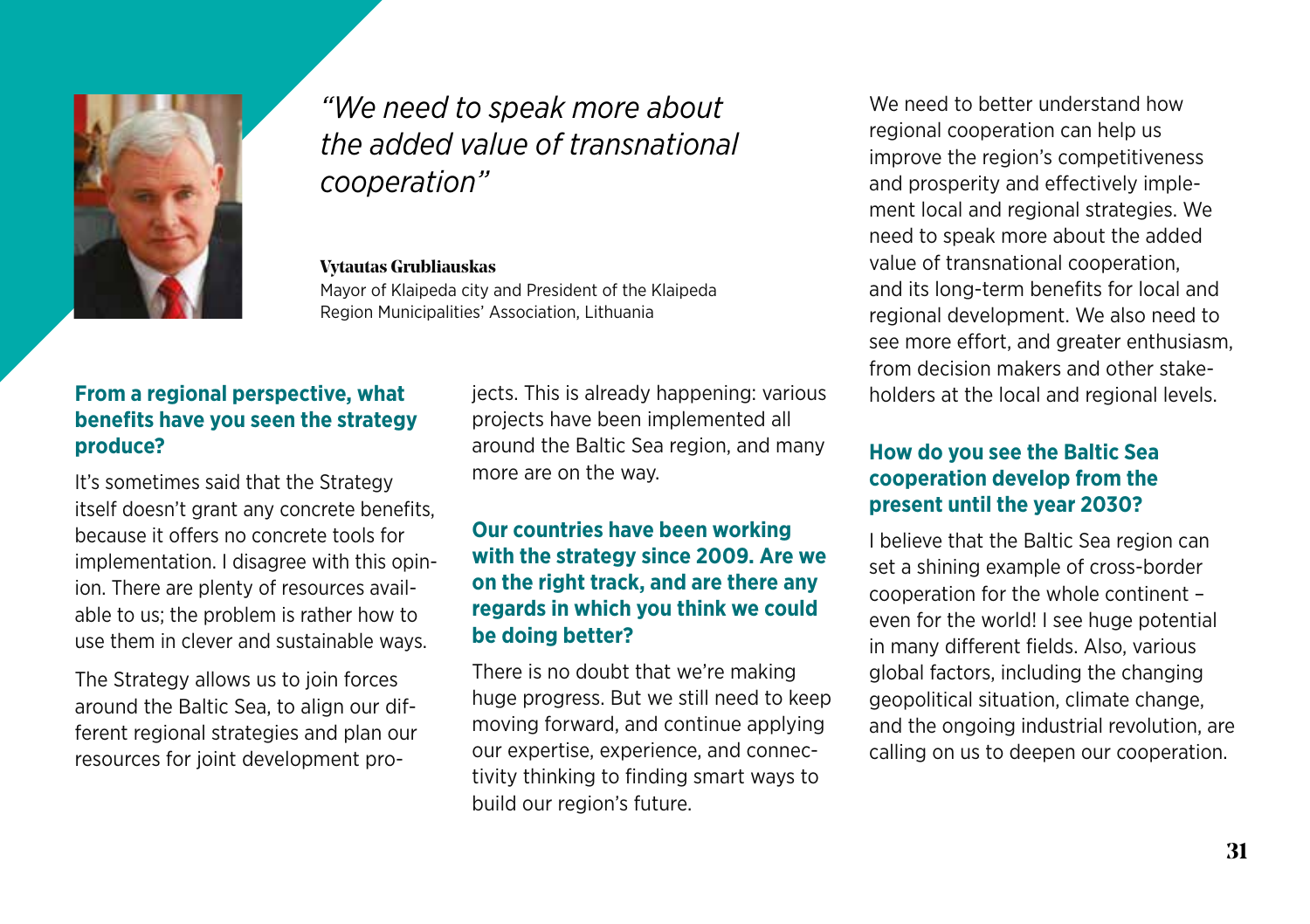

#### *"We need to speak more about the added value of transnational cooperation"*

#### **Vytautas Grubliauskas**

Mayor of Klaipeda city and President of the Klaipeda Region Municipalities' Association, Lithuania

#### **From a regional perspective, what benefits have you seen the strategy produce?**

It's sometimes said that the Strategy itself doesn't grant any concrete benefits, because it offers no concrete tools for implementation. I disagree with this opinion. There are plenty of resources available to us; the problem is rather how to use them in clever and sustainable ways.

The Strategy allows us to join forces around the Baltic Sea, to align our different regional strategies and plan our resources for joint development projects. This is already happening: various projects have been implemented all around the Baltic Sea region, and many more are on the way.

#### **Our countries have been working with the strategy since 2009. Are we on the right track, and are there any regards in which you think we could be doing better?**

There is no doubt that we're making huge progress. But we still need to keep moving forward, and continue applying our expertise, experience, and connectivity thinking to finding smart ways to build our region's future.

We need to better understand how regional cooperation can help us improve the region's competitiveness and prosperity and effectively implement local and regional strategies. We need to speak more about the added value of transnational cooperation, and its long-term benefits for local and regional development. We also need to see more effort, and greater enthusiasm, from decision makers and other stakeholders at the local and regional levels.

#### **How do you see the Baltic Sea cooperation develop from the present until the year 2030?**

I believe that the Baltic Sea region can set a shining example of cross-border cooperation for the whole continent – even for the world! I see huge potential in many different fields. Also, various global factors, including the changing geopolitical situation, climate change, and the ongoing industrial revolution, are calling on us to deepen our cooperation.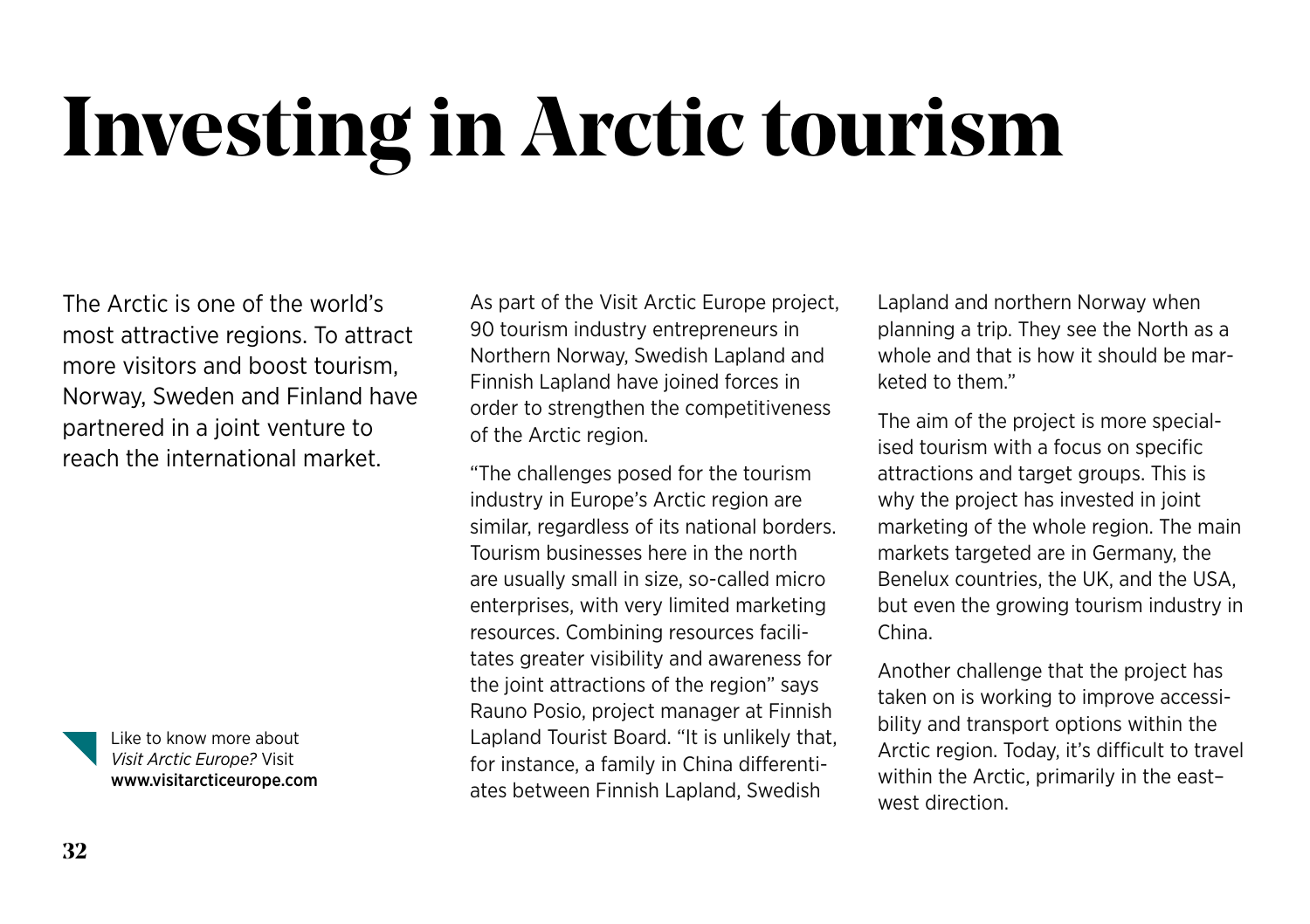# **Investing in Arctic tourism**

The Arctic is one of the world's most attractive regions. To attract more visitors and boost tourism, Norway, Sweden and Finland have partnered in a joint venture to reach the international market.



Like to know more about *Visit Arctic Europe?* Visit www.visitarcticeurope.com

As part of the Visit Arctic Europe project, 90 tourism industry entrepreneurs in Northern Norway, Swedish Lapland and Finnish Lapland have joined forces in order to strengthen the competitiveness of the Arctic region.

"The challenges posed for the tourism industry in Europe's Arctic region are similar, regardless of its national borders. Tourism businesses here in the north are usually small in size, so-called micro enterprises, with very limited marketing resources. Combining resources facilitates greater visibility and awareness for the joint attractions of the region" says Rauno Posio, project manager at Finnish Lapland Tourist Board. "It is unlikely that, for instance, a family in China differentiates between Finnish Lapland, Swedish

Lapland and northern Norway when planning a trip. They see the North as a whole and that is how it should be marketed to them."

The aim of the project is more specialised tourism with a focus on specific attractions and target groups. This is why the project has invested in joint marketing of the whole region. The main markets targeted are in Germany, the Benelux countries, the UK, and the USA, but even the growing tourism industry in China.

Another challenge that the project has taken on is working to improve accessibility and transport options within the Arctic region. Today, it's difficult to travel within the Arctic, primarily in the east– west direction.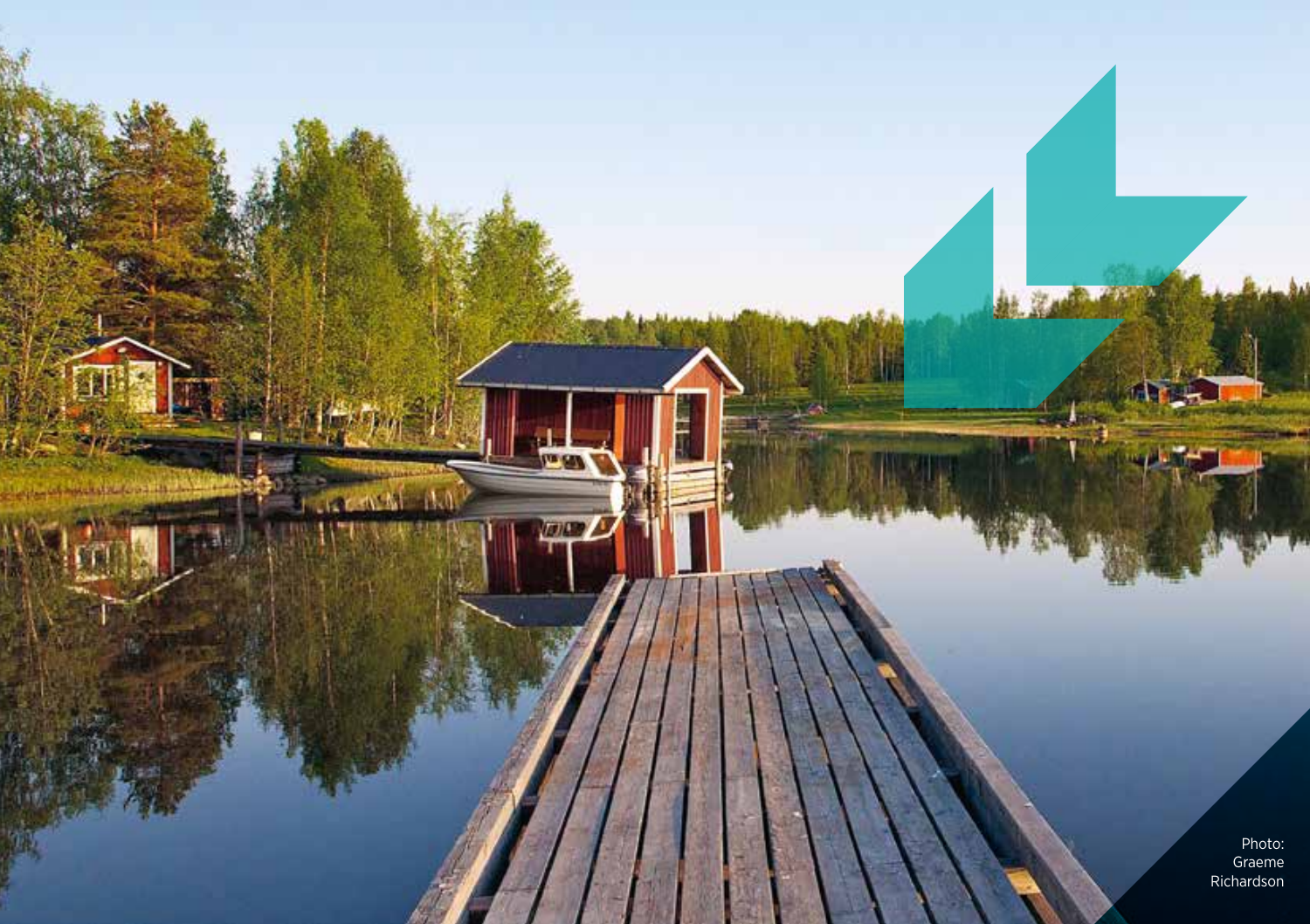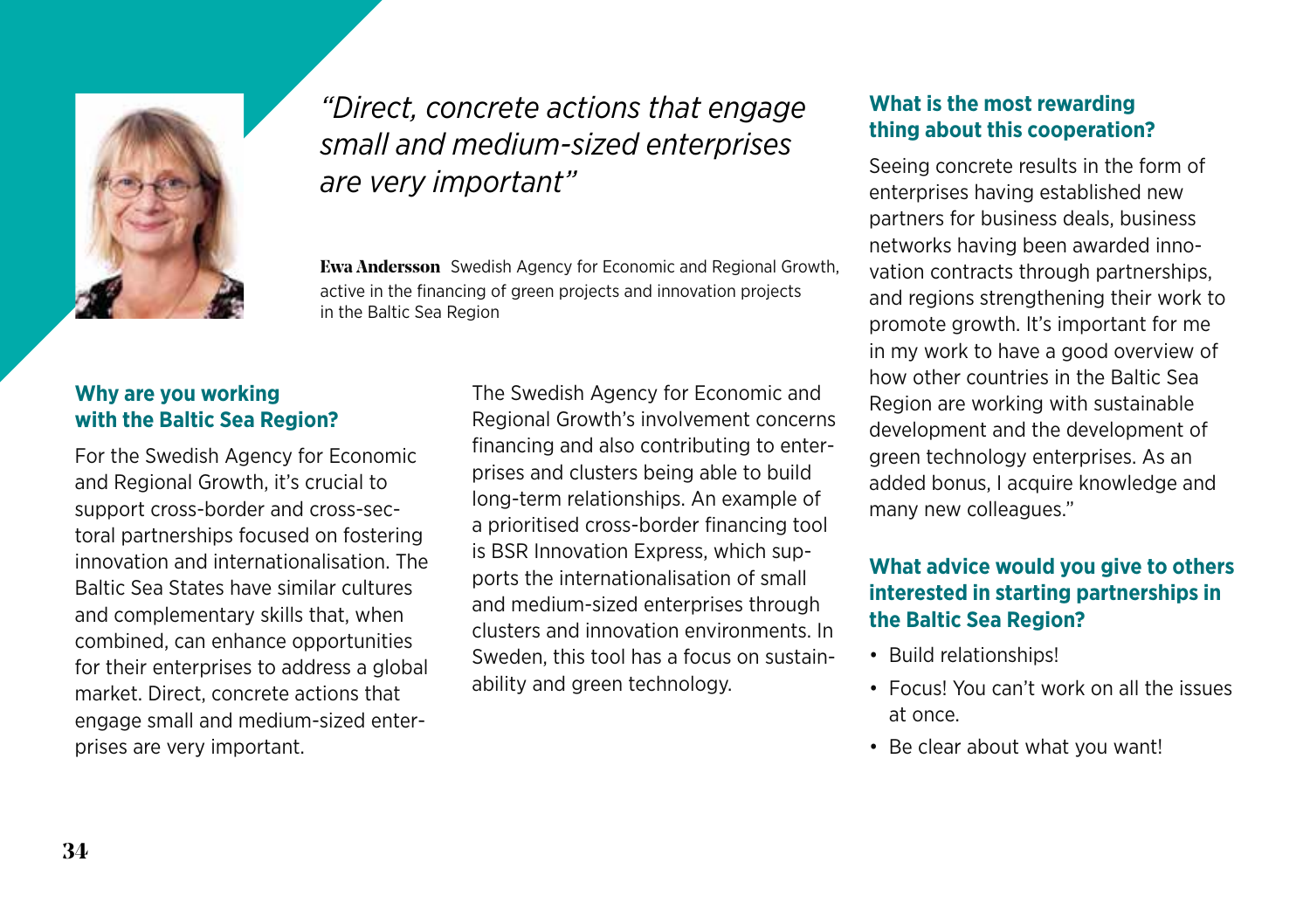

#### *"Direct, concrete actions that engage small and medium-sized enterprises are very important"*

**Ewa Andersson** Swedish Agency for Economic and Regional Growth, active in the financing of green projects and innovation projects in the Baltic Sea Region

#### **Why are you working with the Baltic Sea Region?**

For the Swedish Agency for Economic and Regional Growth, it's crucial to support cross-border and cross-sectoral partnerships focused on fostering innovation and internationalisation. The Baltic Sea States have similar cultures and complementary skills that, when combined, can enhance opportunities for their enterprises to address a global market. Direct, concrete actions that engage small and medium-sized enterprises are very important.

The Swedish Agency for Economic and Regional Growth's involvement concerns financing and also contributing to enterprises and clusters being able to build long-term relationships. An example of a prioritised cross-border financing tool is BSR Innovation Express, which supports the internationalisation of small and medium-sized enterprises through clusters and innovation environments. In Sweden, this tool has a focus on sustainability and green technology.

#### **What is the most rewarding thing about this cooperation?**

Seeing concrete results in the form of enterprises having established new partners for business deals, business networks having been awarded innovation contracts through partnerships, and regions strengthening their work to promote growth. It's important for me in my work to have a good overview of how other countries in the Baltic Sea Region are working with sustainable development and the development of green technology enterprises. As an added bonus, I acquire knowledge and many new colleagues."

#### **What advice would you give to others interested in starting partnerships in the Baltic Sea Region?**

- Build relationships!
- Focus! You can't work on all the issues at once.
- Be clear about what you want!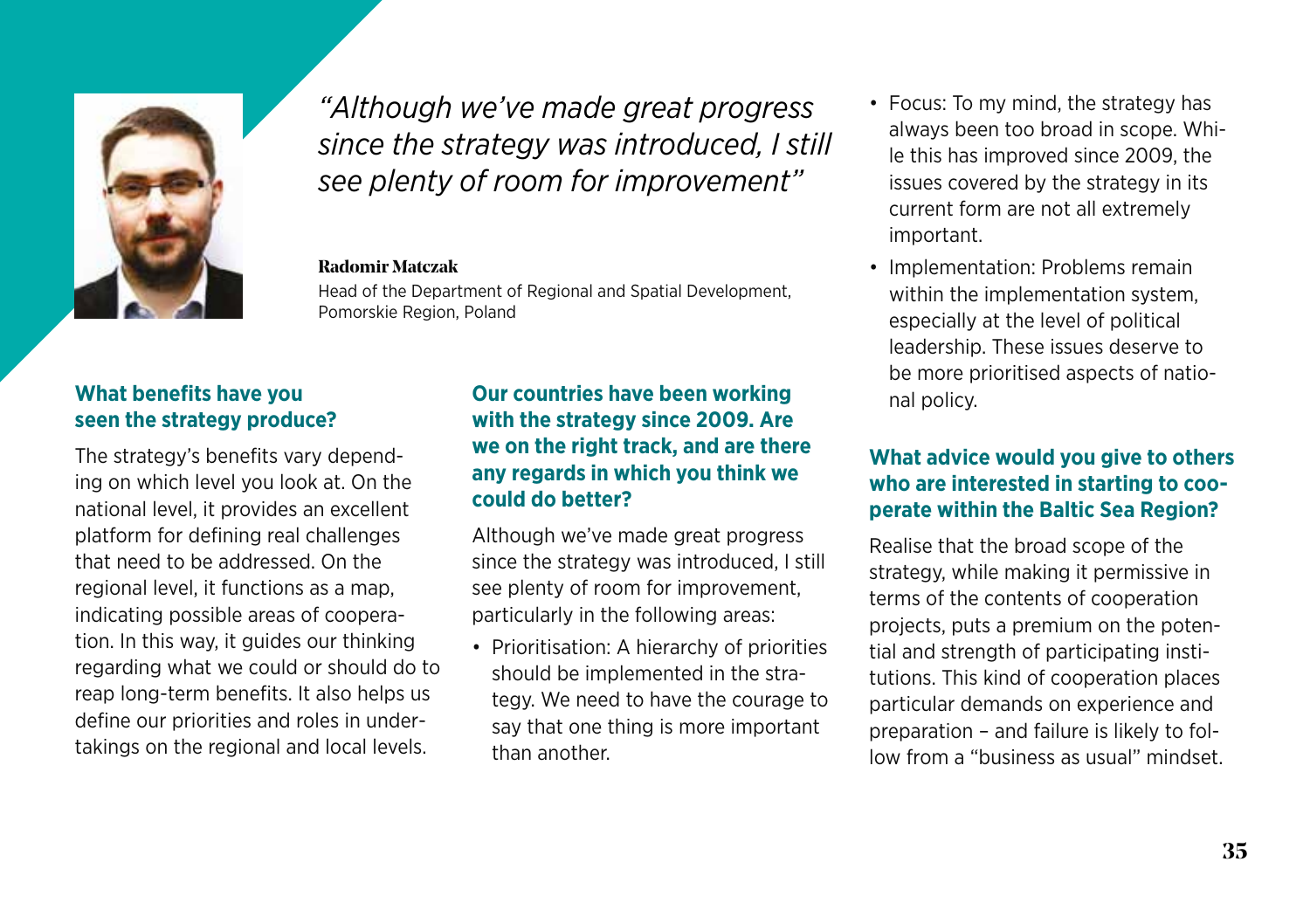

*"Although we've made great progress since the strategy was introduced, I still see plenty of room for improvement"*

#### **Radomir Matczak**

Head of the Department of Regional and Spatial Development, Pomorskie Region, Poland

#### **What benefits have you seen the strategy produce?**

The strategy's benefits vary depending on which level you look at. On the national level, it provides an excellent platform for defining real challenges that need to be addressed. On the regional level, it functions as a map, indicating possible areas of cooperation. In this way, it guides our thinking regarding what we could or should do to reap long-term benefits. It also helps us define our priorities and roles in undertakings on the regional and local levels.

#### **Our countries have been working with the strategy since 2009. Are we on the right track, and are there any regards in which you think we could do better?**

Although we've made great progress since the strategy was introduced, I still see plenty of room for improvement, particularly in the following areas:

• Prioritisation: A hierarchy of priorities should be implemented in the strategy. We need to have the courage to say that one thing is more important than another.

- Focus: To my mind, the strategy has always been too broad in scope. While this has improved since 2009, the issues covered by the strategy in its current form are not all extremely important.
- Implementation: Problems remain within the implementation system, especially at the level of political leadership. These issues deserve to be more prioritised aspects of national policy.

#### **What advice would you give to others who are interested in starting to cooperate within the Baltic Sea Region?**

Realise that the broad scope of the strategy, while making it permissive in terms of the contents of cooperation projects, puts a premium on the potential and strength of participating institutions. This kind of cooperation places particular demands on experience and preparation – and failure is likely to follow from a "business as usual" mindset.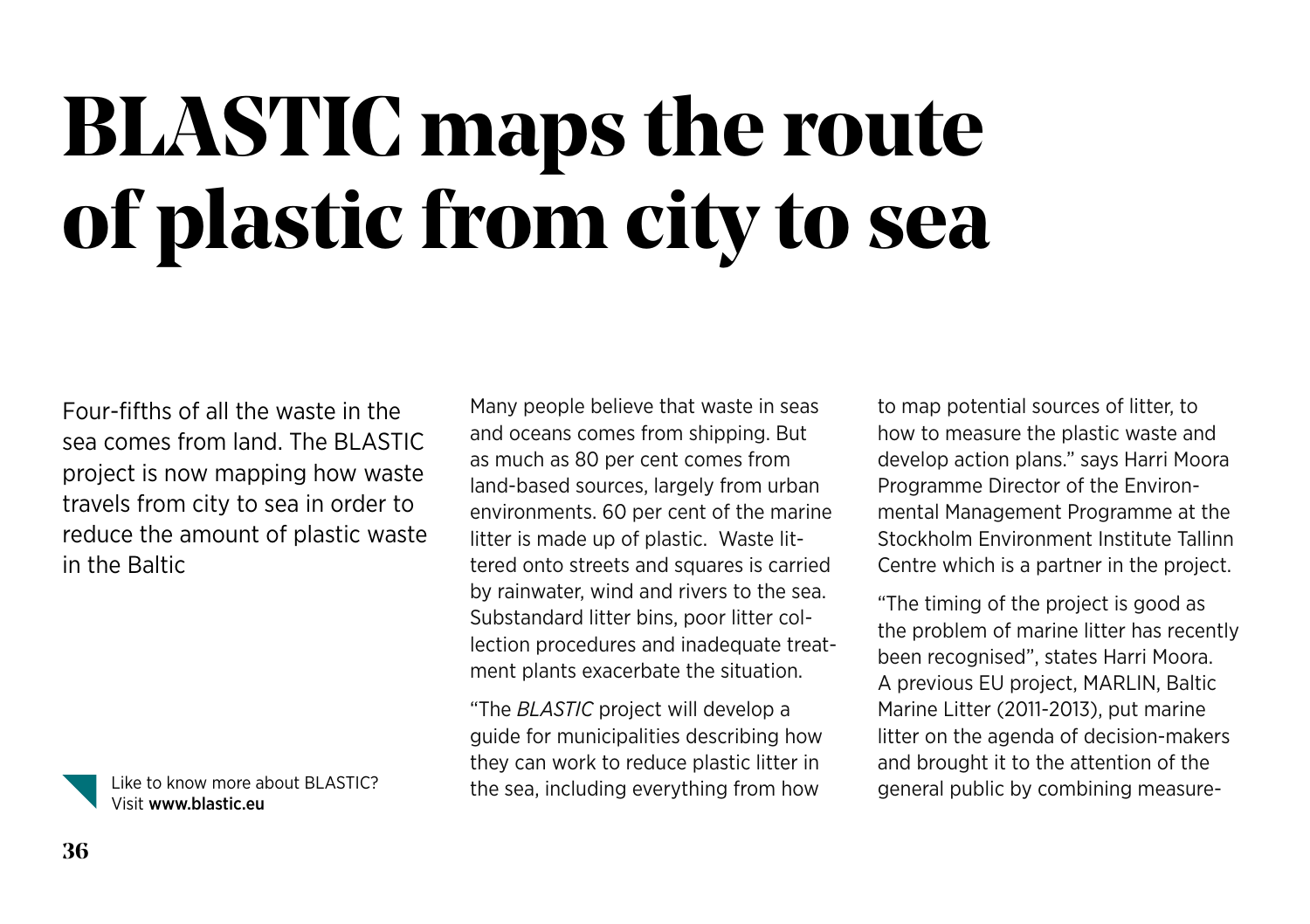### **BLASTIC maps the route of plastic from city to sea**

Four-fifths of all the waste in the sea comes from land. The BLASTIC project is now mapping how waste travels from city to sea in order to reduce the amount of plastic waste in the Baltic



Visit www.blastic.eu

Many people believe that waste in seas and oceans comes from shipping. But as much as 80 per cent comes from land-based sources, largely from urban environments. 60 per cent of the marine litter is made up of plastic. Waste littered onto streets and squares is carried by rainwater, wind and rivers to the sea. Substandard litter bins, poor litter collection procedures and inadequate treatment plants exacerbate the situation.

"The *BLASTIC* project will develop a guide for municipalities describing how they can work to reduce plastic litter in Like to know more about BLASTIC? the sea, including everything from how general public by combining measure-

to map potential sources of litter, to how to measure the plastic waste and develop action plans." says Harri Moora Programme Director of the Environmental Management Programme at the Stockholm Environment Institute Tallinn Centre which is a partner in the project.

"The timing of the project is good as the problem of marine litter has recently been recognised", states Harri Moora. A previous EU project, MARLIN, Baltic Marine Litter (2011-2013), put marine litter on the agenda of decision-makers and brought it to the attention of the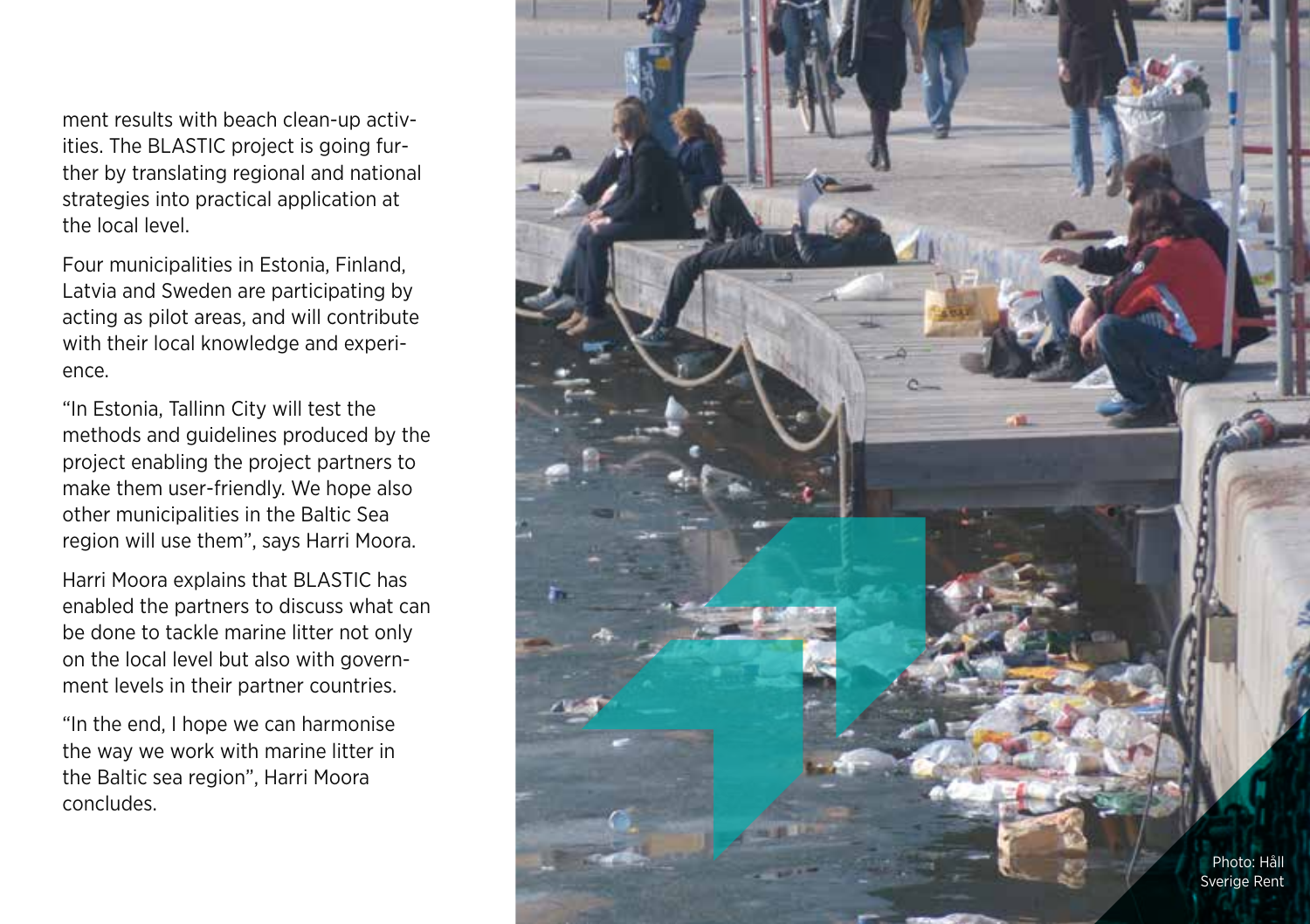ment results with beach clean-up activ ities. The BLASTIC project is going fur ther by translating regional and national strategies into practical application at the local level.

Four municipalities in Estonia, Finland, Latvia and Sweden are participating by acting as pilot areas, and will contribute with their local knowledge and experi ence.

"In Estonia, Tallinn City will test the methods and guidelines produced by the project enabling the project partners to make them user-friendly. We hope also other municipalities in the Baltic Sea region will use them", says Harri Moora.

Harri Moora explains that BLASTIC has enabled the partners to discuss what can be done to tackle marine litter not only on the local level but also with govern ment levels in their partner countries.

"In the end, I hope we can harmonise the way we work with marine litter in the Baltic sea region", Harri Moora concludes.

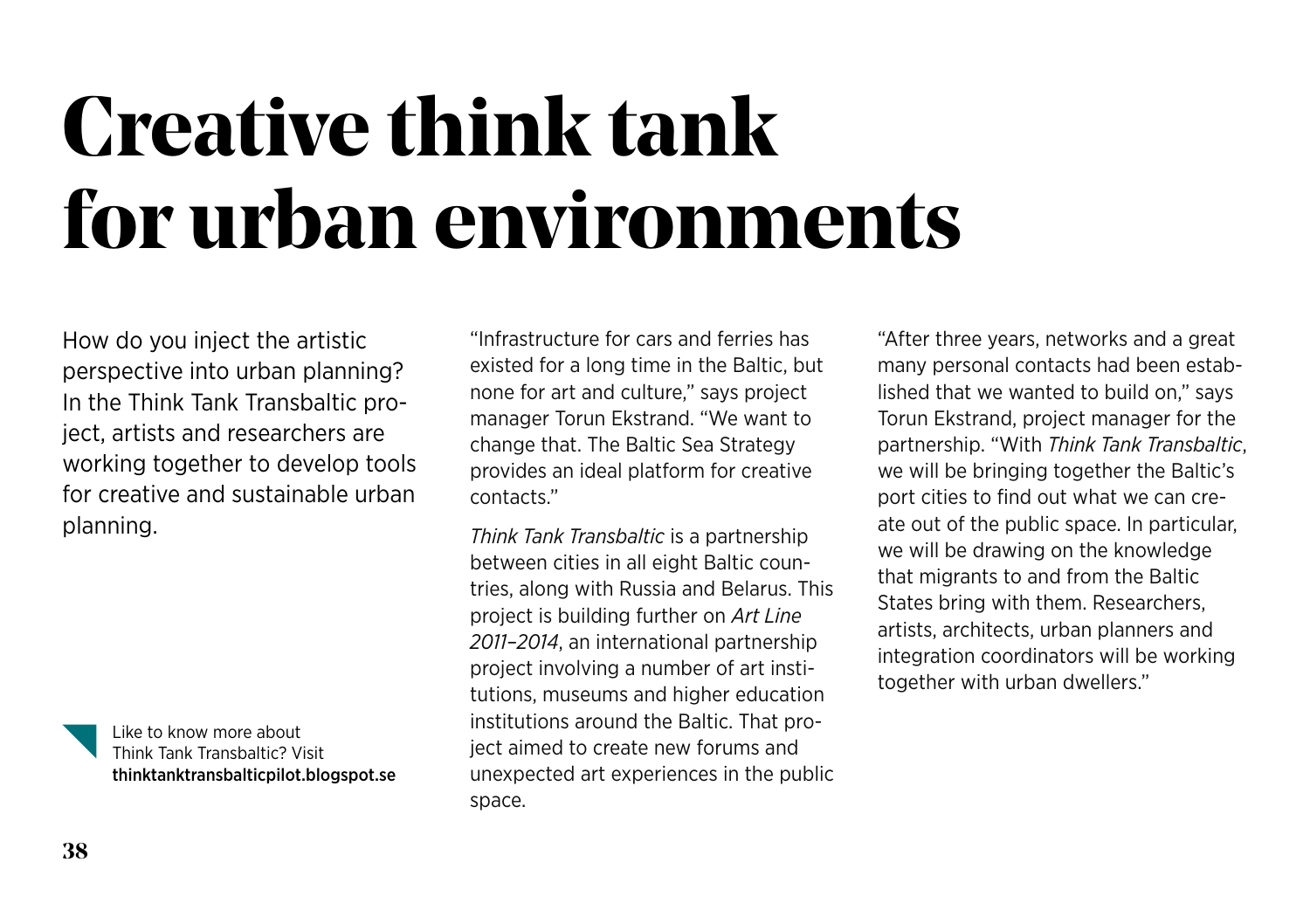### **Creative think tank for urban environments**

How do you inject the artistic perspective into urban planning? In the Think Tank Transbaltic project, artists and researchers are working together to develop tools for creative and sustainable urban planning.

> Like to know more about Think Tank Transbaltic? Visit [thinktanktransbalticpilot.blogspot.se](http://thinktanktransbalticpilot.blogspot.se)

"Infrastructure for cars and ferries has existed for a long time in the Baltic, but none for art and culture," says project manager Torun Ekstrand. "We want to change that. The Baltic Sea Strategy provides an ideal platform for creative contacts."

*Think Tank Transbaltic* is a partnership between cities in all eight Baltic countries, along with Russia and Belarus. This project is building further on *Art Line 2011–2014*, an international partnership project involving a number of art institutions, museums and higher education institutions around the Baltic. That project aimed to create new forums and unexpected art experiences in the public space.

"After three years, networks and a great many personal contacts had been established that we wanted to build on," says Torun Ekstrand, project manager for the partnership. "With *Think Tank Transbaltic*, we will be bringing together the Baltic's port cities to find out what we can create out of the public space. In particular, we will be drawing on the knowledge that migrants to and from the Baltic States bring with them. Researchers, artists, architects, urban planners and integration coordinators will be working together with urban dwellers."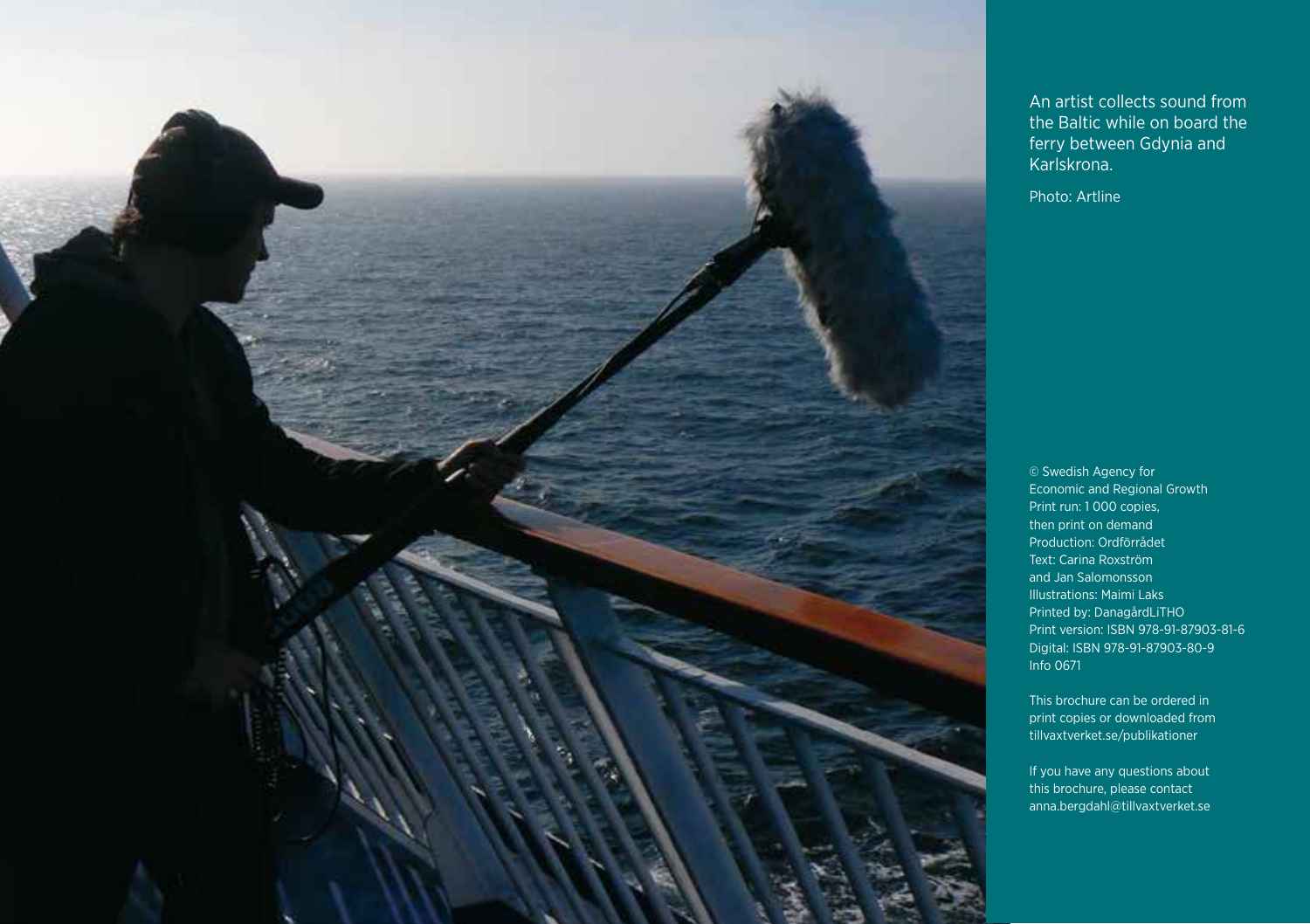

An artist collects sound from the Baltic while on board the ferry between Gdynia and Karlskrona.

Photo: Artline

© Swedish Agency for Economic and Regional Growth Print run: 1 000 copies, then print on demand Production: Ordförrådet Text: Carina Roxström and Jan Salomonsson Illustrations: Maimi Laks Printed by: DanagårdLiTHO Print version: ISBN 978-91-87903-81-6 Digital: ISBN 978-91-87903-80-9 Info 0671

This brochure can be ordered in print copies or downloaded from tillvaxtverket.se/publikationer

If you have any questions about this brochure, please contact anna.bergdahl@tillvaxtverket.se